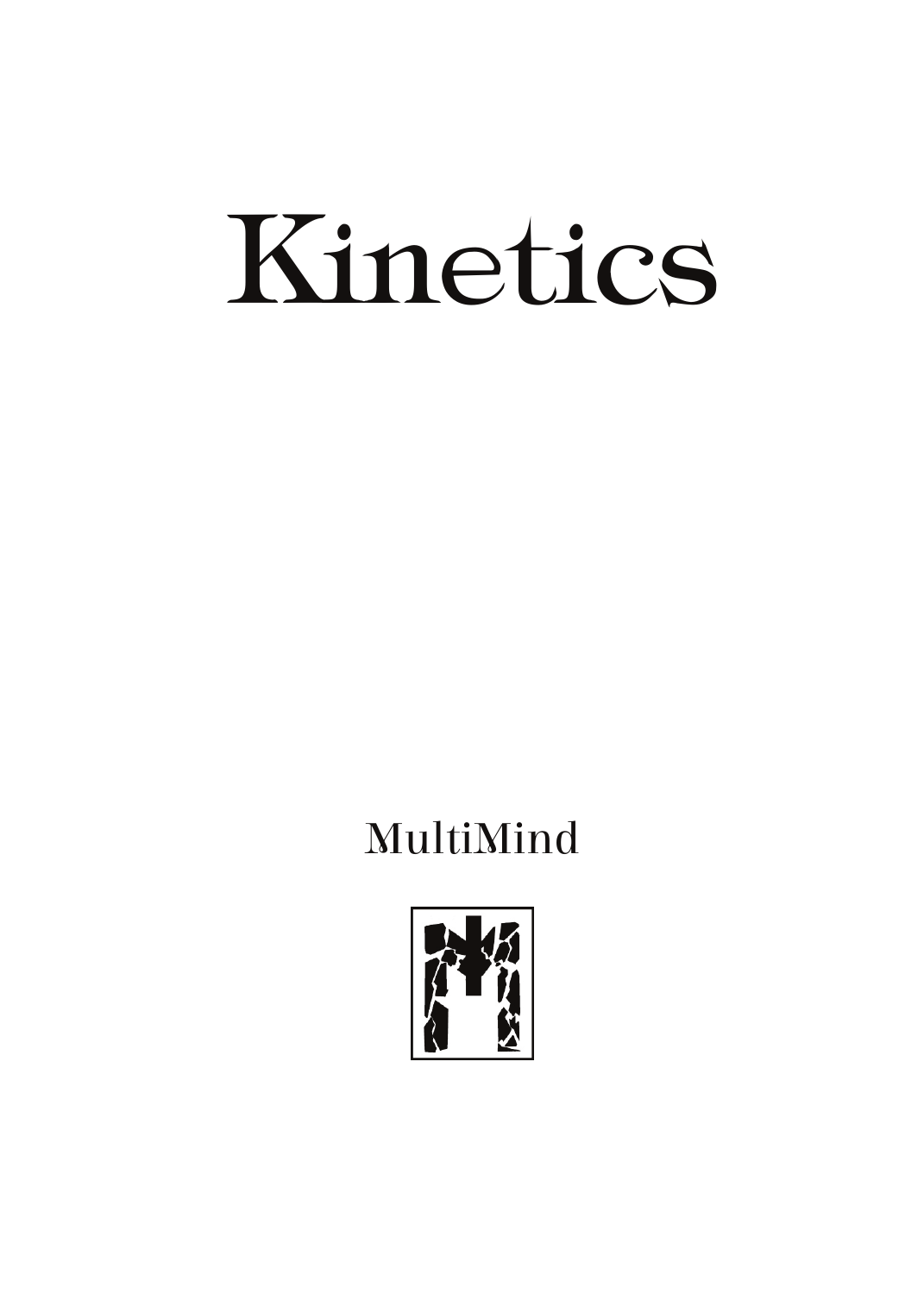# Kinetics

## MultiMind

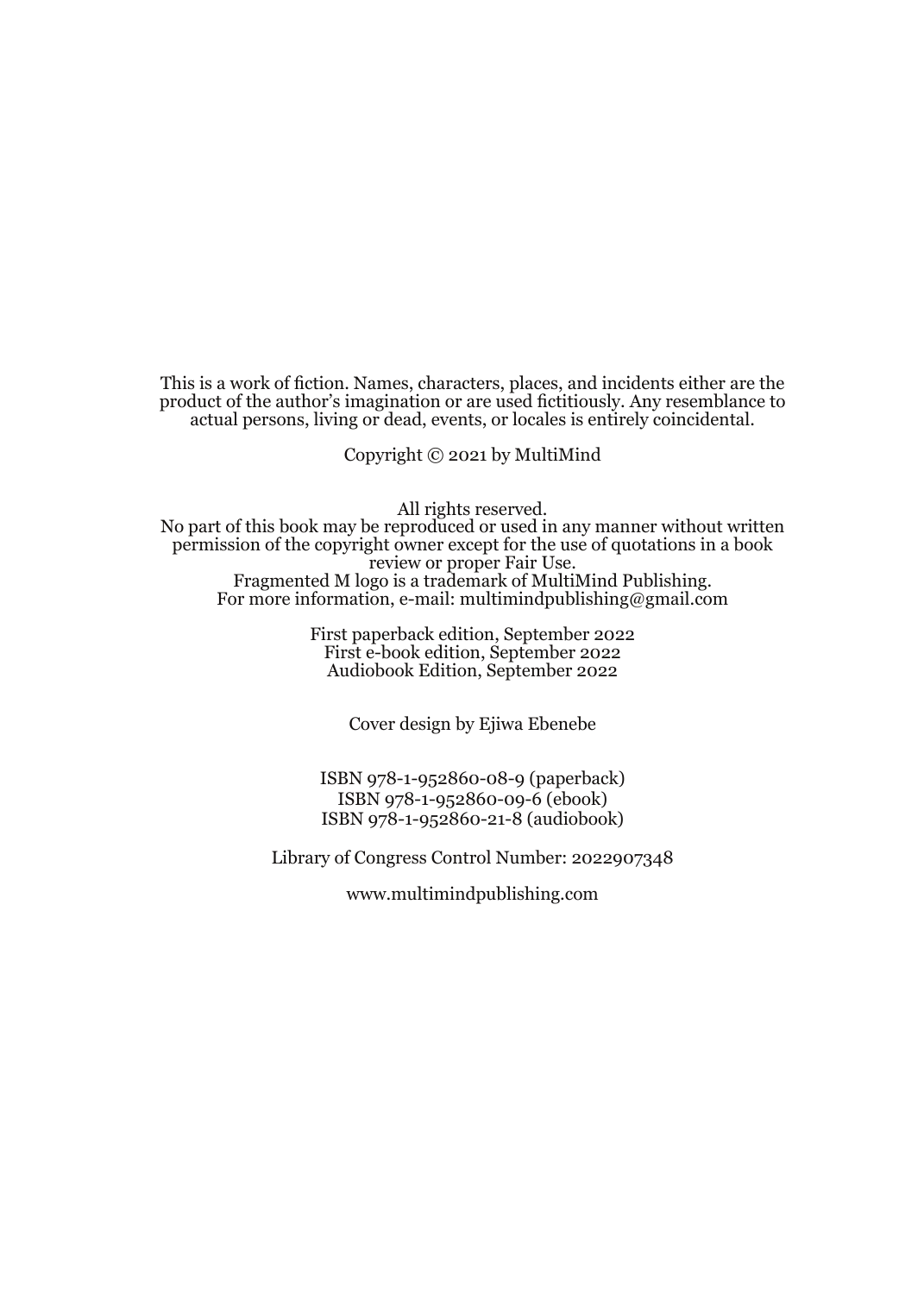This is a work of fiction. Names, characters, places, and incidents either are the product of the author's imagination or are used fictitiously. Any resemblance to actual persons, living or dead, events, or locales is entirely coincidental.

Copyright © 2021 by MultiMind

All rights reserved.

No part of this book may be reproduced or used in any manner without written permission of the copyright owner except for the use of quotations in a book review or proper Fair Use. Fragmented M logo is a trademark of MultiMind Publishing. For more information, e-mail: multimindpublishing@gmail.com

> First paperback edition, September 2022 First e-book edition, September 2022 Audiobook Edition, September 2022

> > Cover design by Ejiwa Ebenebe

ISBN 978-1-952860-08-9 (paperback) ISBN 978-1-952860-09-6 (ebook) ISBN 978-1-952860-21-8 (audiobook)

Library of Congress Control Number: 2022907348

www.multimindpublishing.com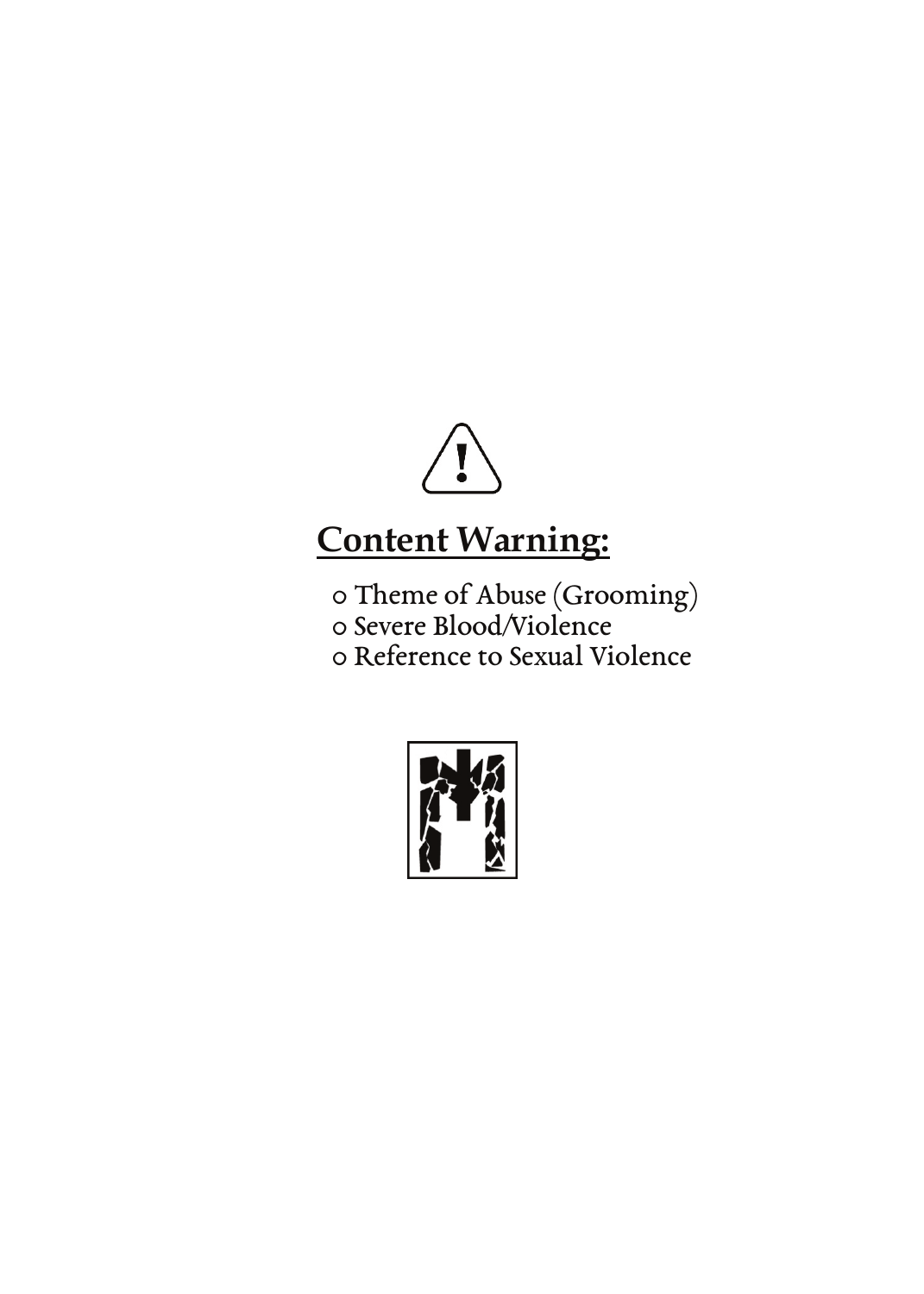

### **Content Warning:**

0 Theme of Abuse (Grooming) 0 Severe Blood/Violence

0 Reference to Sexual Violence

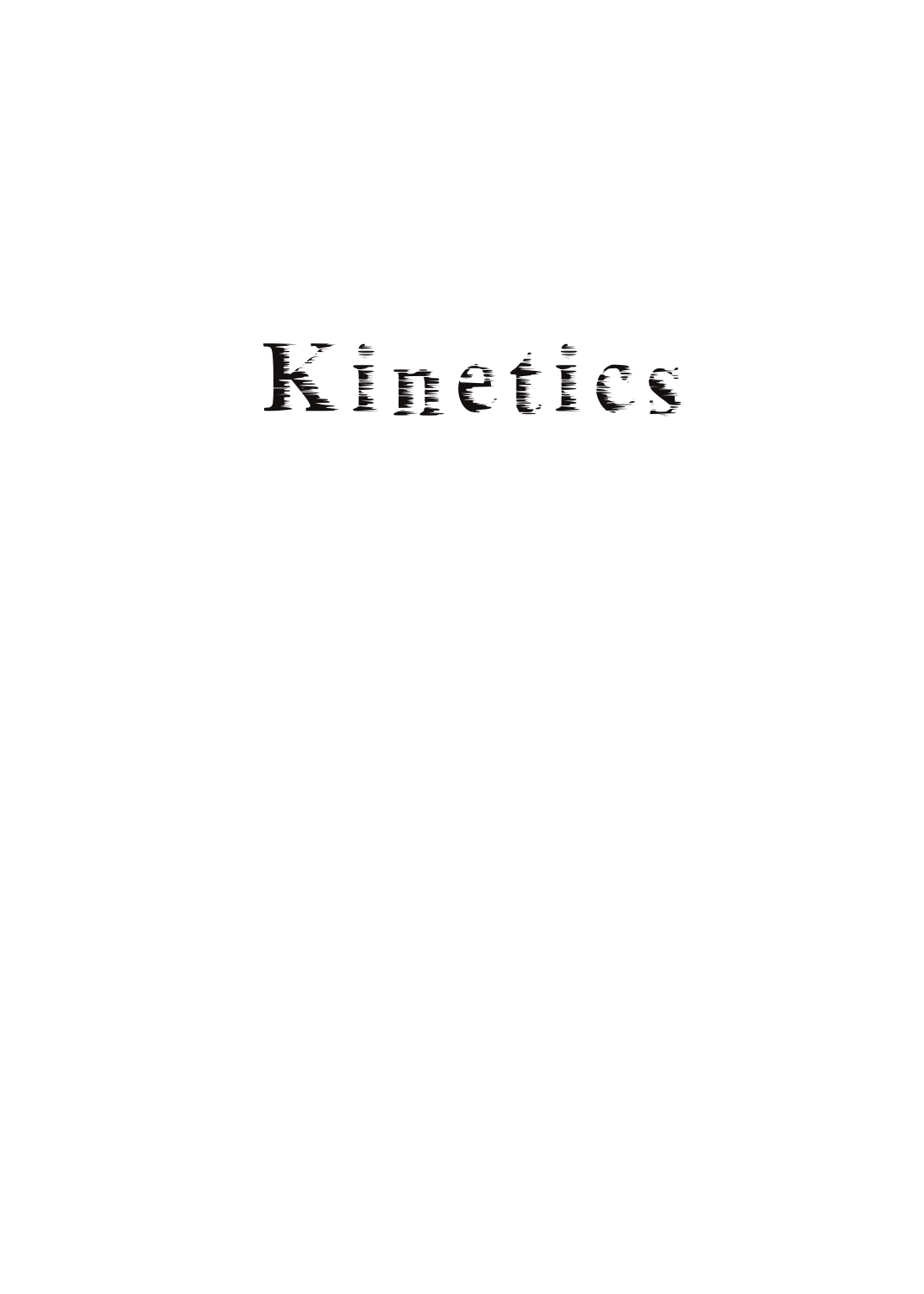## Kinetics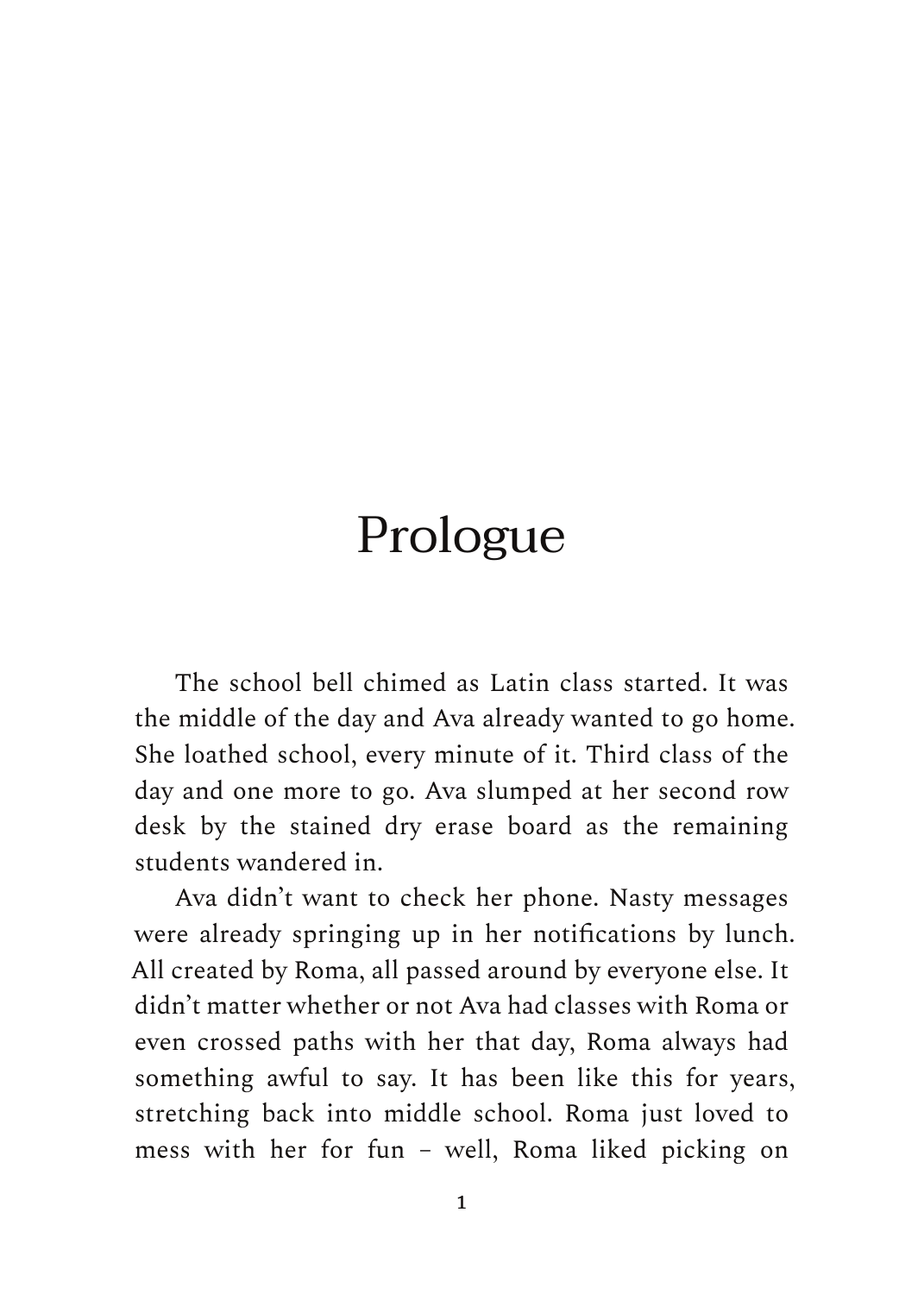## Prologue

The school bell chimed as Latin class started. It was the middle of the day and Ava already wanted to go home. She loathed school, every minute of it. Third class of the day and one more to go. Ava slumped at her second row desk by the stained dry erase board as the remaining students wandered in.

Ava didn't want to check her phone. Nasty messages were already springing up in her notifications by lunch. All created by Roma, all passed around by everyone else. It didn't matter whether or not Ava had classes with Roma or even crossed paths with her that day, Roma always had something awful to say. It has been like this for years, stretching back into middle school. Roma just loved to mess with her for fun – well, Roma liked picking on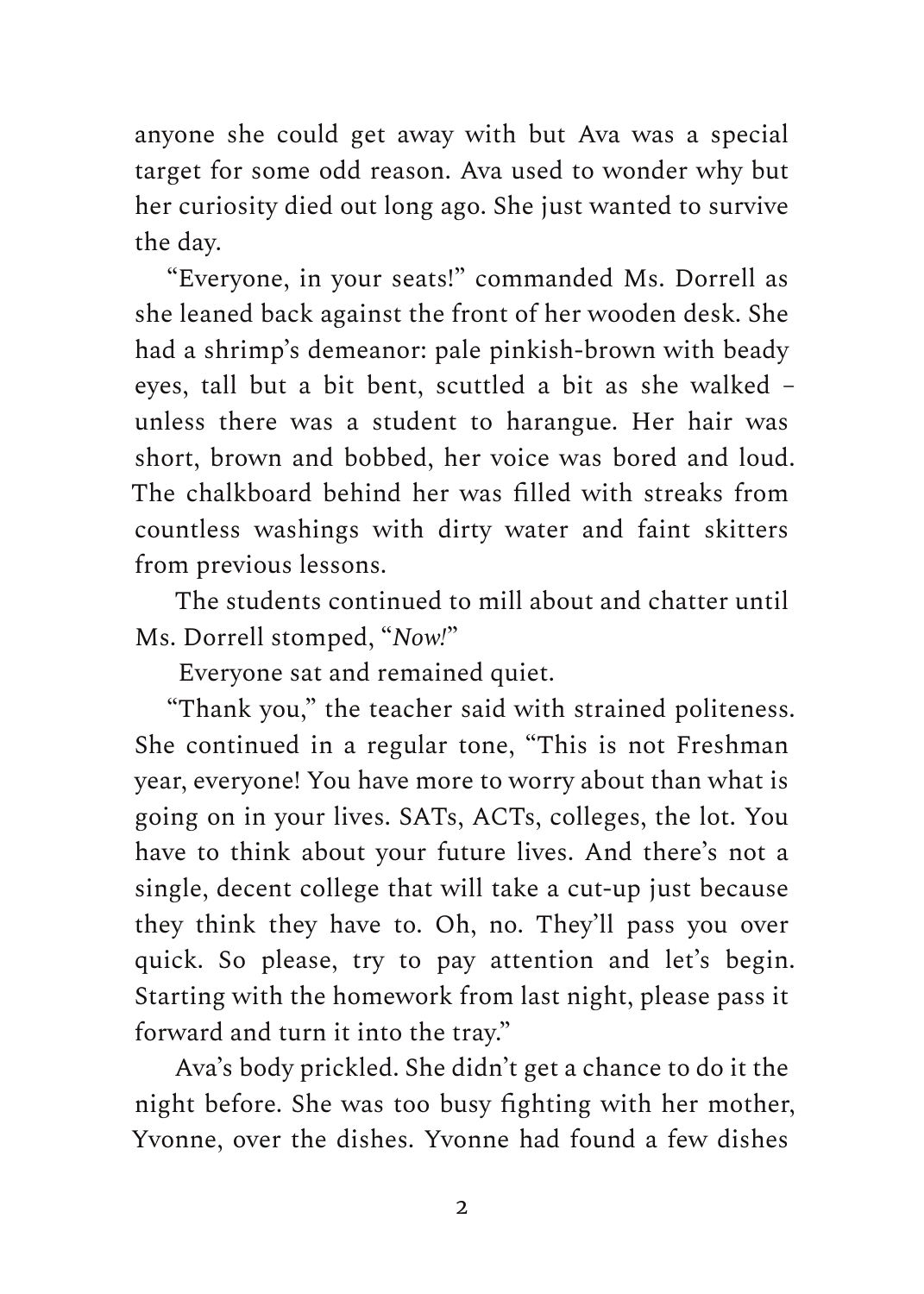anyone she could get away with but Ava was a special target for some odd reason. Ava used to wonder why but her curiosity died out long ago. She just wanted to survive the day.

"Everyone, in your seats!" commanded Ms. Dorrell as she leaned back against the front of her wooden desk. She had a shrimp's demeanor: pale pinkish-brown with beady eyes, tall but a bit bent, scuttled a bit as she walked – unless there was a student to harangue. Her hair was short, brown and bobbed, her voice was bored and loud. The chalkboard behind her was filled with streaks from countless washings with dirty water and faint skitters from previous lessons.

The students continued to mill about and chatter until Ms. Dorrell stomped, "*Now!*"

Everyone sat and remained quiet.

"Thank you," the teacher said with strained politeness. She continued in a regular tone, "This is not Freshman year, everyone! You have more to worry about than what is going on in your lives. SATs, ACTs, colleges, the lot. You have to think about your future lives. And there's not a single, decent college that will take a cut-up just because they think they have to. Oh, no. They'll pass you over quick. So please, try to pay attention and let's begin. Starting with the homework from last night, please pass it forward and turn it into the tray."

Ava's body prickled. She didn't get a chance to do it the night before. She was too busy fighting with her mother, Yvonne, over the dishes. Yvonne had found a few dishes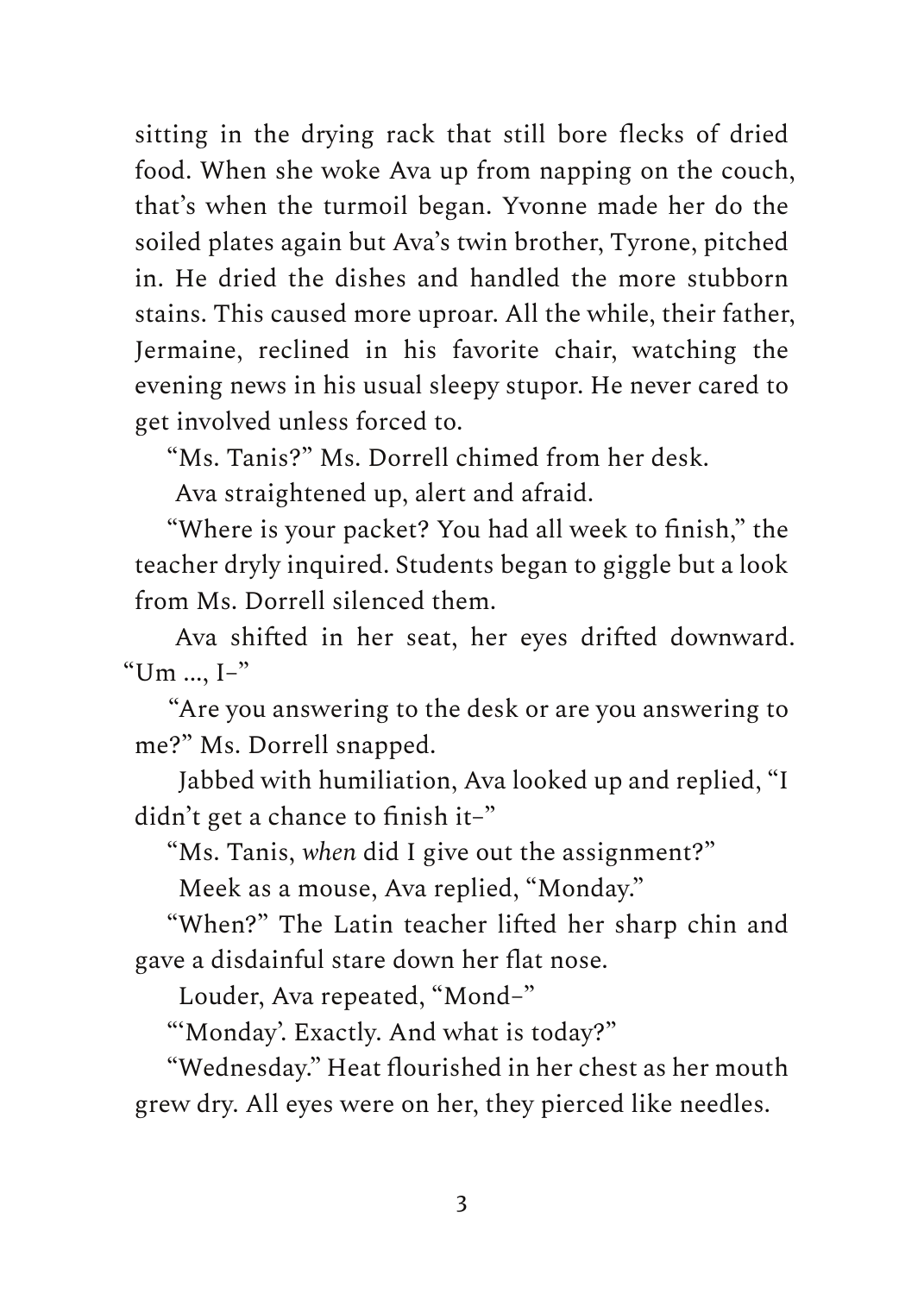sitting in the drying rack that still bore flecks of dried food. When she woke Ava up from napping on the couch, that's when the turmoil began. Yvonne made her do the soiled plates again but Ava's twin brother, Tyrone, pitched in. He dried the dishes and handled the more stubborn stains. This caused more uproar. All the while, their father, Jermaine, reclined in his favorite chair, watching the evening news in his usual sleepy stupor. He never cared to get involved unless forced to.

"Ms. Tanis?" Ms. Dorrell chimed from her desk.

Ava straightened up, alert and afraid.

"Where is your packet? You had all week to finish," the teacher dryly inquired. Students began to giggle but a look from Ms. Dorrell silenced them.

Ava shifted in her seat, her eyes drifted downward. "Um  $\ldots$  I-"

"Are you answering to the desk or are you answering to me?" Ms. Dorrell snapped.

Jabbed with humiliation, Ava looked up and replied, "I didn't get a chance to finish it–"

"Ms. Tanis, *when* did I give out the assignment?"

Meek as a mouse, Ava replied, "Monday."

"When?" The Latin teacher lifted her sharp chin and gave a disdainful stare down her flat nose.

Louder, Ava repeated, "Mond–"

"'Monday'. Exactly. And what is today?"

"Wednesday." Heat flourished in her chest as her mouth grew dry. All eyes were on her, they pierced like needles.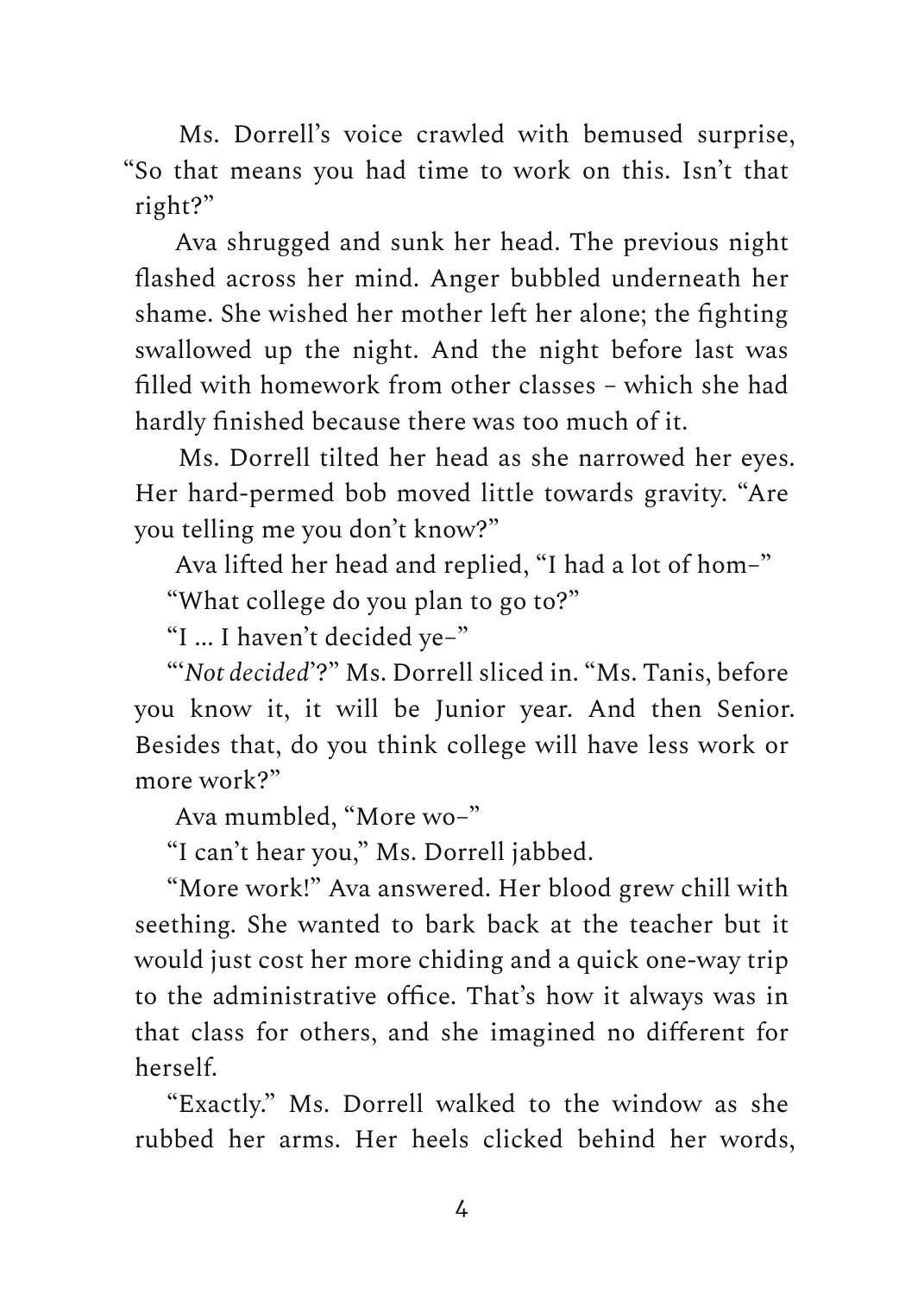Ms. Dorrell's voice crawled with bemused surprise, "So that means you had time to work on this. Isn't that right?"

Ava shrugged and sunk her head. The previous night flashed across her mind. Anger bubbled underneath her shame. She wished her mother left her alone; the fighting swallowed up the night. And the night before last was filled with homework from other classes – which she had hardly finished because there was too much of it.

Ms. Dorrell tilted her head as she narrowed her eyes. Her hard-permed bob moved little towards gravity. "Are you telling me you don't know?"

Ava lifted her head and replied, "I had a lot of hom–"

"What college do you plan to go to?"

"I ... I haven't decided ye–"

"'*Not decided*'?" Ms. Dorrell sliced in. "Ms. Tanis, before you know it, it will be Junior year. And then Senior. Besides that, do you think college will have less work or more work?"

Ava mumbled, "More wo–"

"I can't hear you," Ms. Dorrell jabbed.

"More work!" Ava answered. Her blood grew chill with seething. She wanted to bark back at the teacher but it would just cost her more chiding and a quick one-way trip to the administrative office. That's how it always was in that class for others, and she imagined no different for herself.

"Exactly." Ms. Dorrell walked to the window as she rubbed her arms. Her heels clicked behind her words,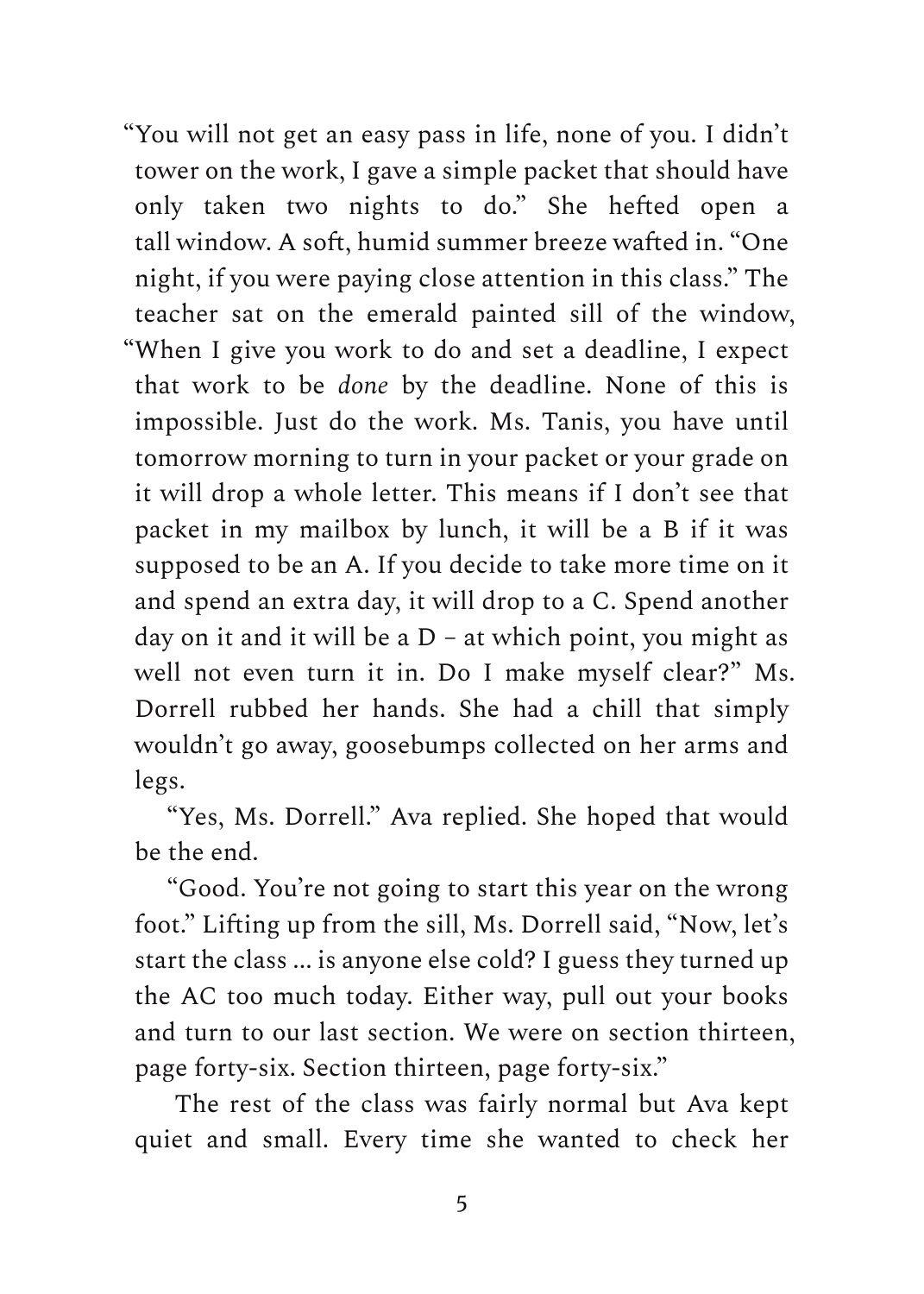"You will not get an easy pass in life, none of you. I didn't tower on the work, I gave a simple packet that should have only taken two nights to do." She hefted open a tall window. A soft, humid summer breeze wafted in. "One night, if you were paying close attention in this class." The teacher sat on the emerald painted sill of the window, "When I give you work to do and set a deadline, I expect that work to be *done* by the deadline. None of this is impossible. Just do the work. Ms. Tanis, you have until tomorrow morning to turn in your packet or your grade on it will drop a whole letter. This means if I don't see that packet in my mailbox by lunch, it will be a B if it was supposed to be an A. If you decide to take more time on it and spend an extra day, it will drop to a C. Spend another day on it and it will be a D – at which point, you might as well not even turn it in. Do I make myself clear?" Ms. Dorrell rubbed her hands. She had a chill that simply wouldn't go away, goosebumps collected on her arms and legs.

"Yes, Ms. Dorrell." Ava replied. She hoped that would be the end.

"Good. You're not going to start this year on the wrong foot." Lifting up from the sill, Ms. Dorrell said, "Now, let's start the class ... is anyone else cold? I guess they turned up the AC too much today. Either way, pull out your books and turn to our last section. We were on section thirteen, page forty-six. Section thirteen, page forty-six."

The rest of the class was fairly normal but Ava kept quiet and small. Every time she wanted to check her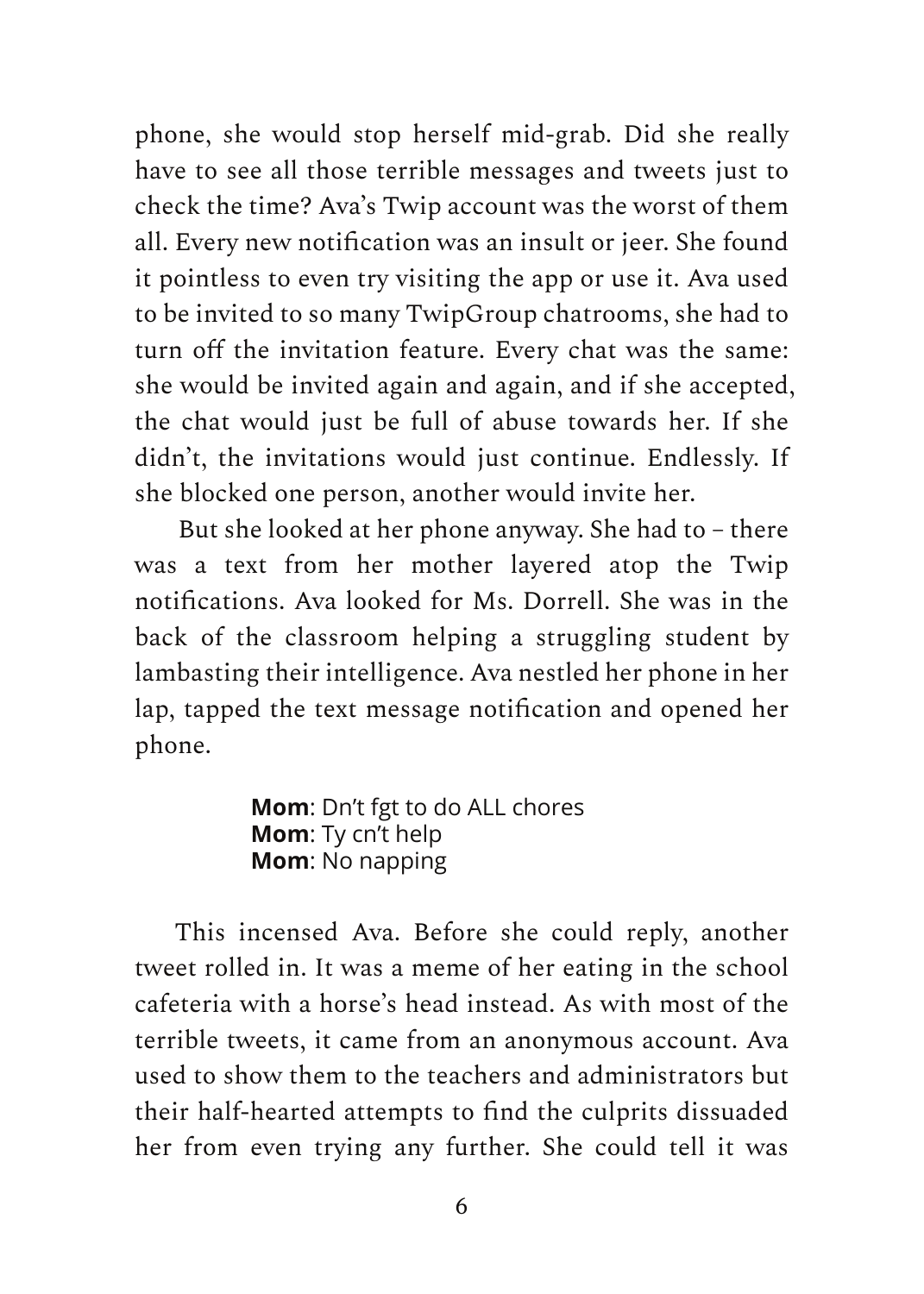phone, she would stop herself mid-grab. Did she really have to see all those terrible messages and tweets just to check the time? Ava's Twip account was the worst of them all. Every new notification was an insult or jeer. She found it pointless to even try visiting the app or use it. Ava used to be invited to so many TwipGroup chatrooms, she had to turn off the invitation feature. Every chat was the same: she would be invited again and again, and if she accepted, the chat would just be full of abuse towards her. If she didn't, the invitations would just continue. Endlessly. If she blocked one person, another would invite her.

But she looked at her phone anyway. She had to – there was a text from her mother layered atop the Twip notifications. Ava looked for Ms. Dorrell. She was in the back of the classroom helping a struggling student by lambasting their intelligence. Ava nestled her phone in her lap, tapped the text message notification and opened her phone.

> **Mom**: Dn't fgt to do ALL chores **Mom**: Ty cn't help **Mom**: No napping

This incensed Ava. Before she could reply, another tweet rolled in. It was a meme of her eating in the school cafeteria with a horse's head instead. As with most of the terrible tweets, it came from an anonymous account. Ava used to show them to the teachers and administrators but their half-hearted attempts to find the culprits dissuaded her from even trying any further. She could tell it was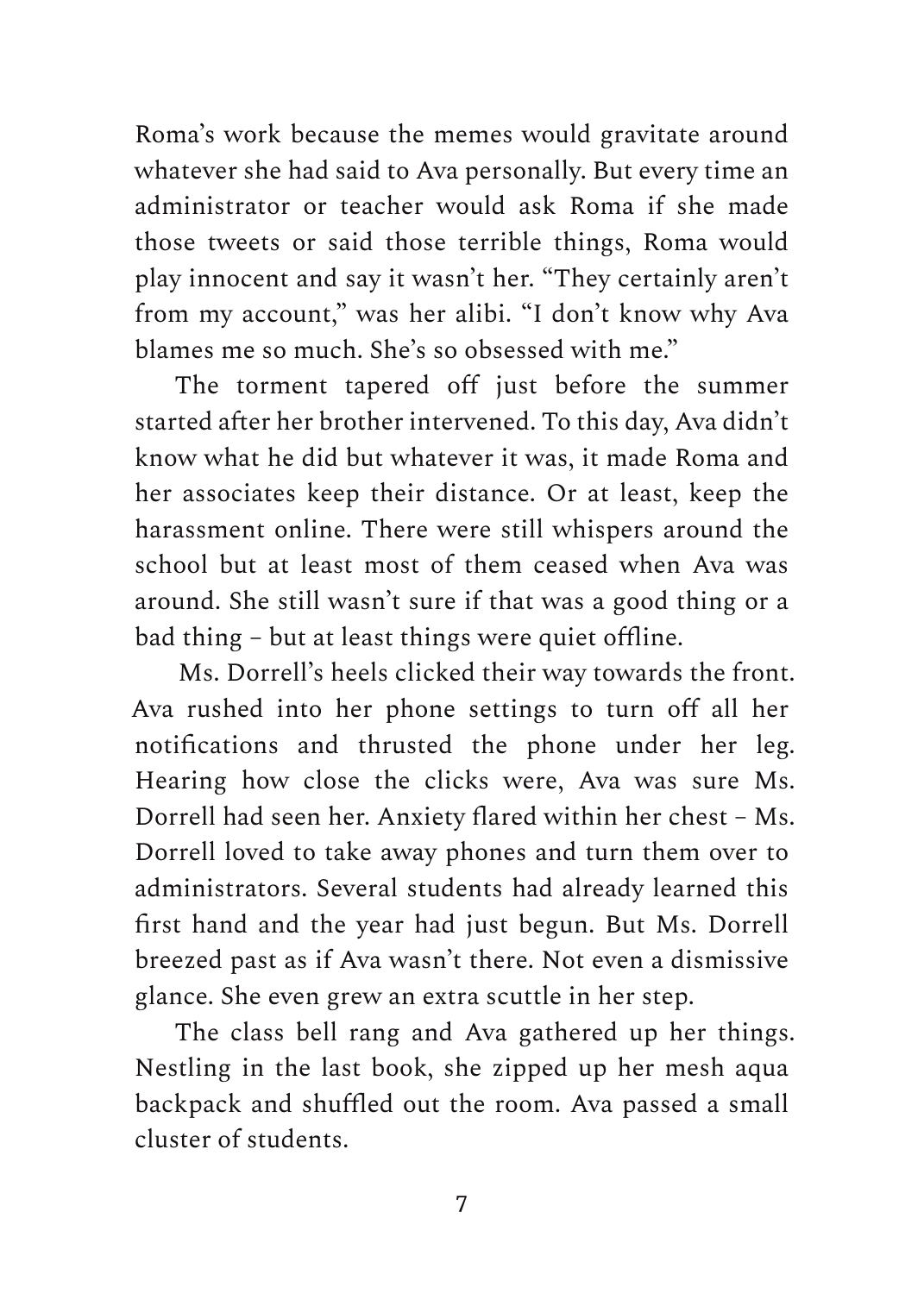Roma's work because the memes would gravitate around whatever she had said to Ava personally. But every time an administrator or teacher would ask Roma if she made those tweets or said those terrible things, Roma would play innocent and say it wasn't her. "They certainly aren't from my account," was her alibi. "I don't know why Ava blames me so much. She's so obsessed with me."

The torment tapered off just before the summer started after her brother intervened. To this day, Ava didn't know what he did but whatever it was, it made Roma and her associates keep their distance. Or at least, keep the harassment online. There were still whispers around the school but at least most of them ceased when Ava was around. She still wasn't sure if that was a good thing or a bad thing – but at least things were quiet offline.

Ms. Dorrell's heels clicked their way towards the front. Ava rushed into her phone settings to turn off all her notifications and thrusted the phone under her leg. Hearing how close the clicks were, Ava was sure Ms. Dorrell had seen her. Anxiety flared within her chest – Ms. Dorrell loved to take away phones and turn them over to administrators. Several students had already learned this first hand and the year had just begun. But Ms. Dorrell breezed past as if Ava wasn't there. Not even a dismissive glance. She even grew an extra scuttle in her step.

The class bell rang and Ava gathered up her things. Nestling in the last book, she zipped up her mesh aqua backpack and shuffled out the room. Ava passed a small cluster of students.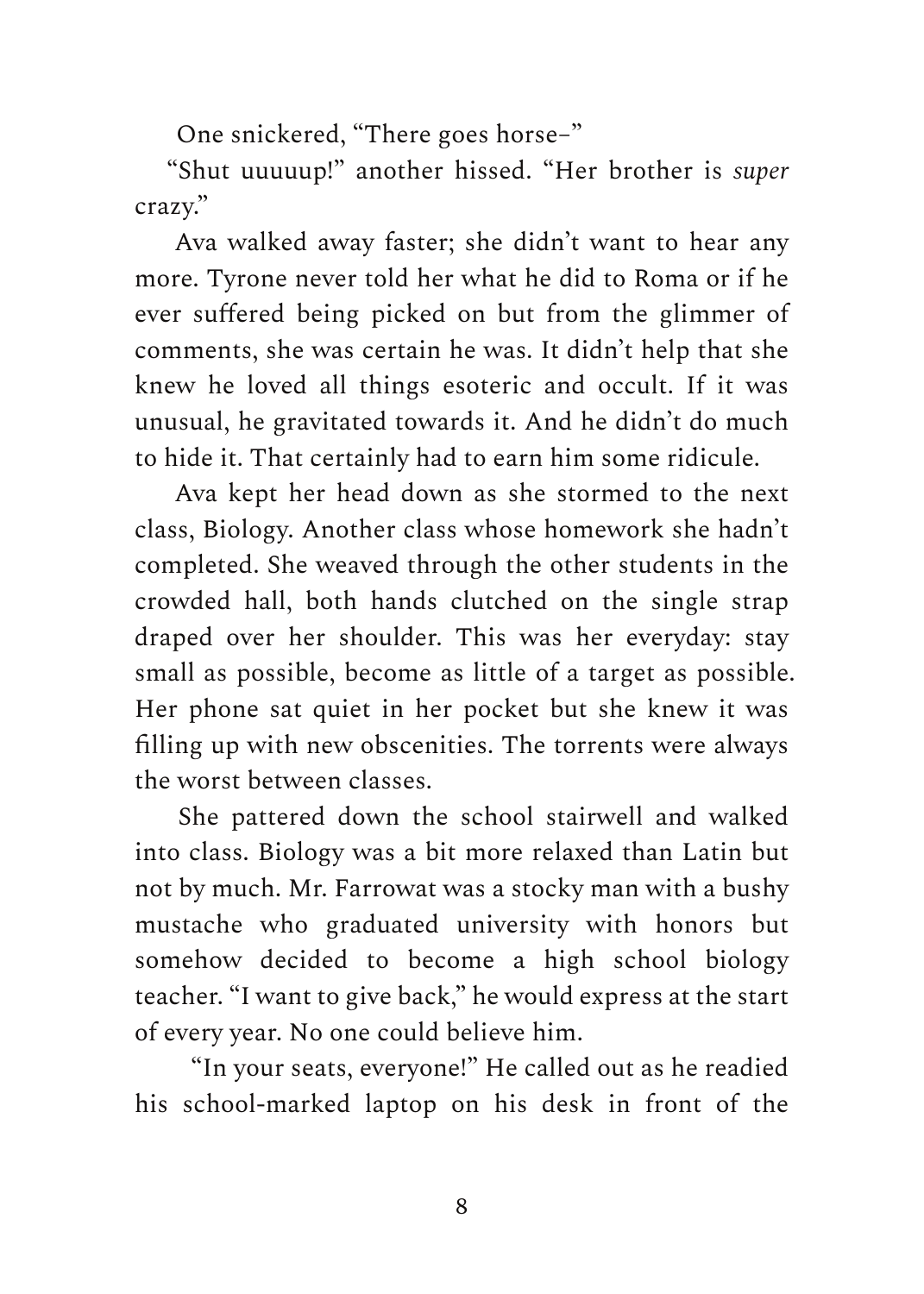One snickered, "There goes horse–"

"Shut uuuuup!" another hissed. "Her brother is *super* crazy."

Ava walked away faster; she didn't want to hear any more. Tyrone never told her what he did to Roma or if he ever suffered being picked on but from the glimmer of comments, she was certain he was. It didn't help that she knew he loved all things esoteric and occult. If it was unusual, he gravitated towards it. And he didn't do much to hide it. That certainly had to earn him some ridicule.

Ava kept her head down as she stormed to the next class, Biology. Another class whose homework she hadn't completed. She weaved through the other students in the crowded hall, both hands clutched on the single strap draped over her shoulder. This was her everyday: stay small as possible, become as little of a target as possible. Her phone sat quiet in her pocket but she knew it was filling up with new obscenities. The torrents were always the worst between classes.

She pattered down the school stairwell and walked into class. Biology was a bit more relaxed than Latin but not by much. Mr. Farrowat was a stocky man with a bushy mustache who graduated university with honors but somehow decided to become a high school biology teacher. "I want to give back," he would express at the start of every year. No one could believe him.

"In your seats, everyone!" He called out as he readied his school-marked laptop on his desk in front of the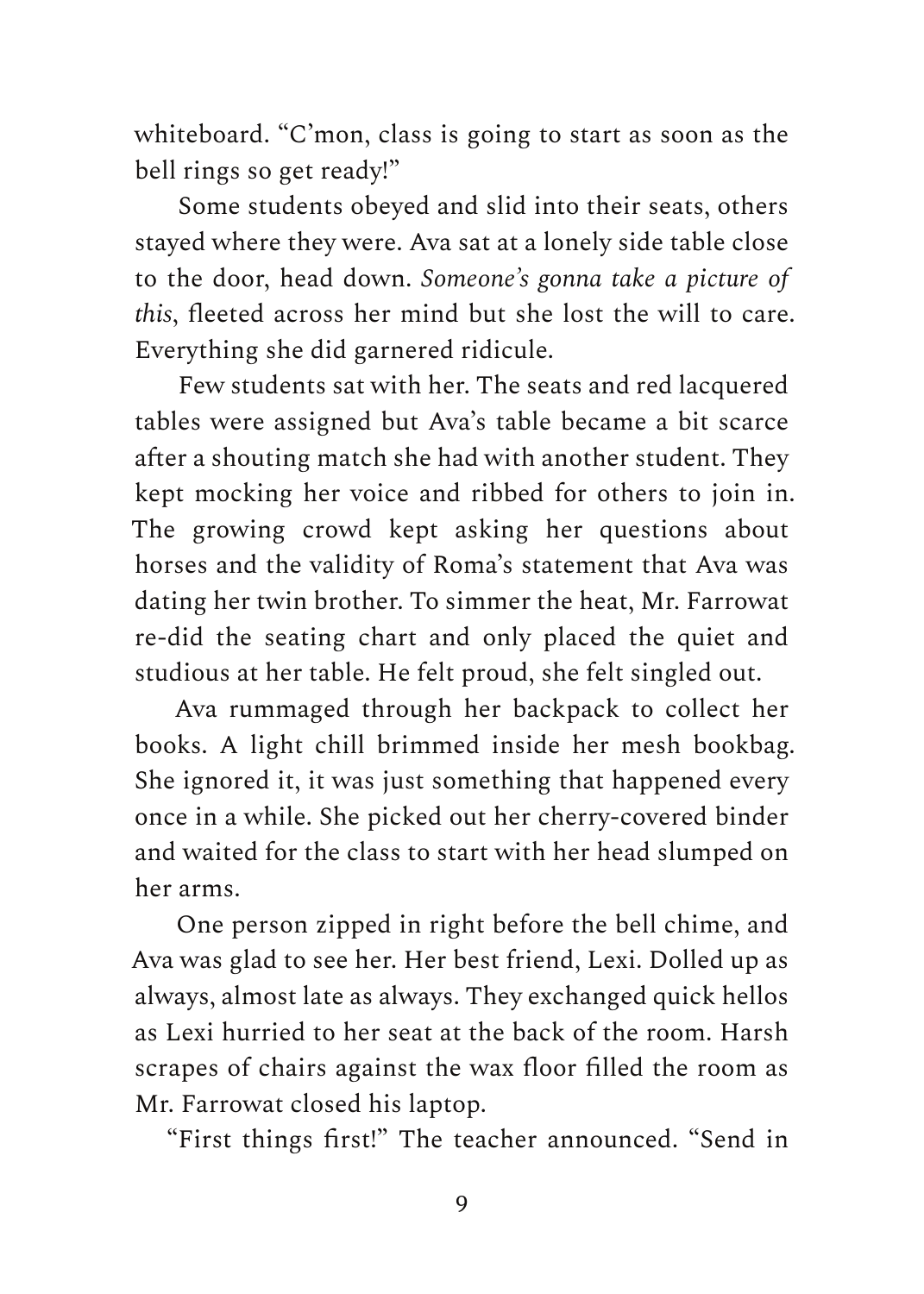whiteboard. "C'mon, class is going to start as soon as the bell rings so get ready!"

Some students obeyed and slid into their seats, others stayed where they were. Ava sat at a lonely side table close to the door, head down. *Someone's gonna take a picture of this*, fleeted across her mind but she lost the will to care. Everything she did garnered ridicule.

Few students sat with her. The seats and red lacquered tables were assigned but Ava's table became a bit scarce after a shouting match she had with another student. They kept mocking her voice and ribbed for others to join in. The growing crowd kept asking her questions about horses and the validity of Roma's statement that Ava was dating her twin brother. To simmer the heat, Mr. Farrowat re-did the seating chart and only placed the quiet and studious at her table. He felt proud, she felt singled out.

Ava rummaged through her backpack to collect her books. A light chill brimmed inside her mesh bookbag. She ignored it, it was just something that happened every once in a while. She picked out her cherry-covered binder and waited for the class to start with her head slumped on her arms.

One person zipped in right before the bell chime, and Ava was glad to see her. Her best friend, Lexi. Dolled up as always, almost late as always. They exchanged quick hellos as Lexi hurried to her seat at the back of the room. Harsh scrapes of chairs against the wax floor filled the room as Mr. Farrowat closed his laptop.

"First things first!" The teacher announced. "Send in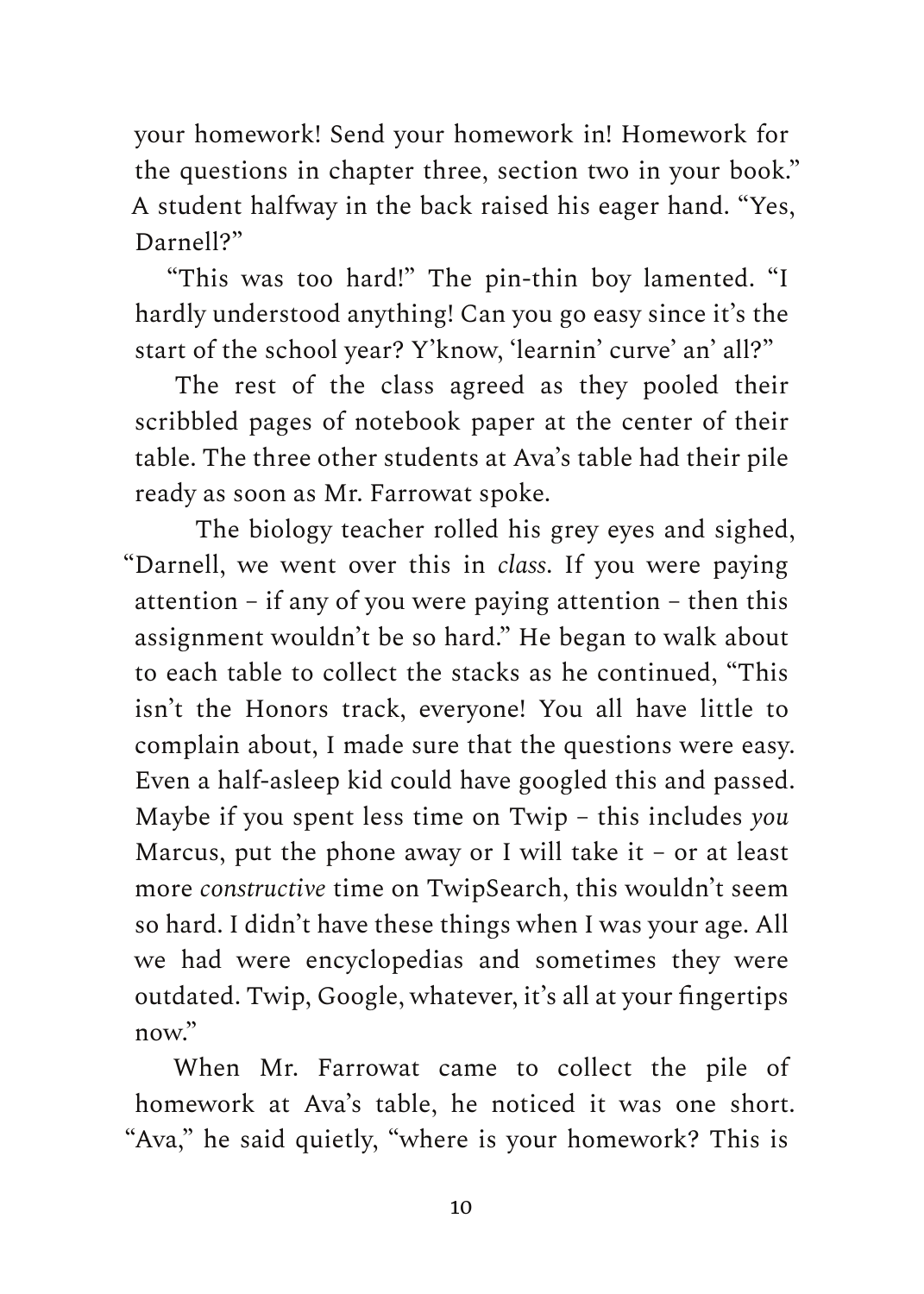your homework! Send your homework in! Homework for the questions in chapter three, section two in your book." A student halfway in the back raised his eager hand. "Yes, Darnell?"

"This was too hard!" The pin-thin boy lamented. "I hardly understood anything! Can you go easy since it's the start of the school year? Y'know, 'learnin' curve' an' all?"

The rest of the class agreed as they pooled their scribbled pages of notebook paper at the center of their table. The three other students at Ava's table had their pile ready as soon as Mr. Farrowat spoke.

The biology teacher rolled his grey eyes and sighed, "Darnell, we went over this in *class*. If you were paying attention – if any of you were paying attention – then this assignment wouldn't be so hard." He began to walk about to each table to collect the stacks as he continued, "This isn't the Honors track, everyone! You all have little to complain about, I made sure that the questions were easy. Even a half-asleep kid could have googled this and passed. Maybe if you spent less time on Twip – this includes *you* Marcus, put the phone away or I will take it – or at least more *constructive* time on TwipSearch, this wouldn't seem so hard. I didn't have these things when I was your age. All we had were encyclopedias and sometimes they were outdated. Twip, Google, whatever, it's all at your fingertips now".

When Mr. Farrowat came to collect the pile of homework at Ava's table, he noticed it was one short. "Ava," he said quietly, "where is your homework? This is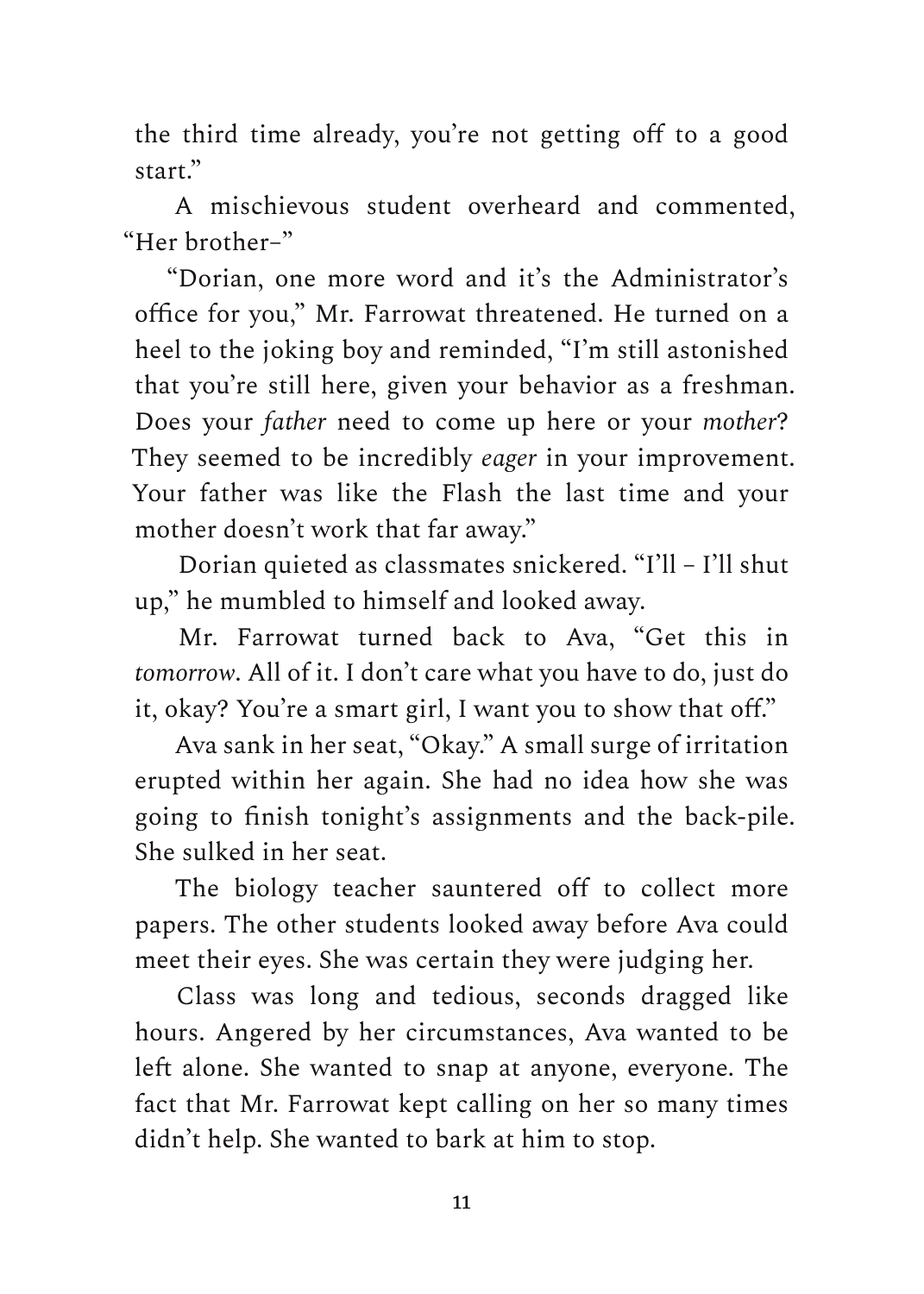the third time already, you're not getting off to a good start<sup>"</sup>

A mischievous student overheard and commented, "Her brother–"

"Dorian, one more word and it's the Administrator's office for you," Mr. Farrowat threatened. He turned on a heel to the joking boy and reminded, "I'm still astonished that you're still here, given your behavior as a freshman. Does your *father* need to come up here or your *mother*? They seemed to be incredibly *eager* in your improvement. Your father was like the Flash the last time and your mother doesn't work that far away."

Dorian quieted as classmates snickered. "I'll – I'll shut up," he mumbled to himself and looked away.

Mr. Farrowat turned back to Ava, "Get this in *tomorrow*. All of it. I don't care what you have to do, just do it, okay? You're a smart girl, I want you to show that off."

Ava sank in her seat, "Okay." A small surge of irritation erupted within her again. She had no idea how she was going to finish tonight's assignments and the back-pile. She sulked in her seat.

The biology teacher sauntered off to collect more papers. The other students looked away before Ava could meet their eyes. She was certain they were judging her.

Class was long and tedious, seconds dragged like hours. Angered by her circumstances, Ava wanted to be left alone. She wanted to snap at anyone, everyone. The fact that Mr. Farrowat kept calling on her so many times didn't help. She wanted to bark at him to stop.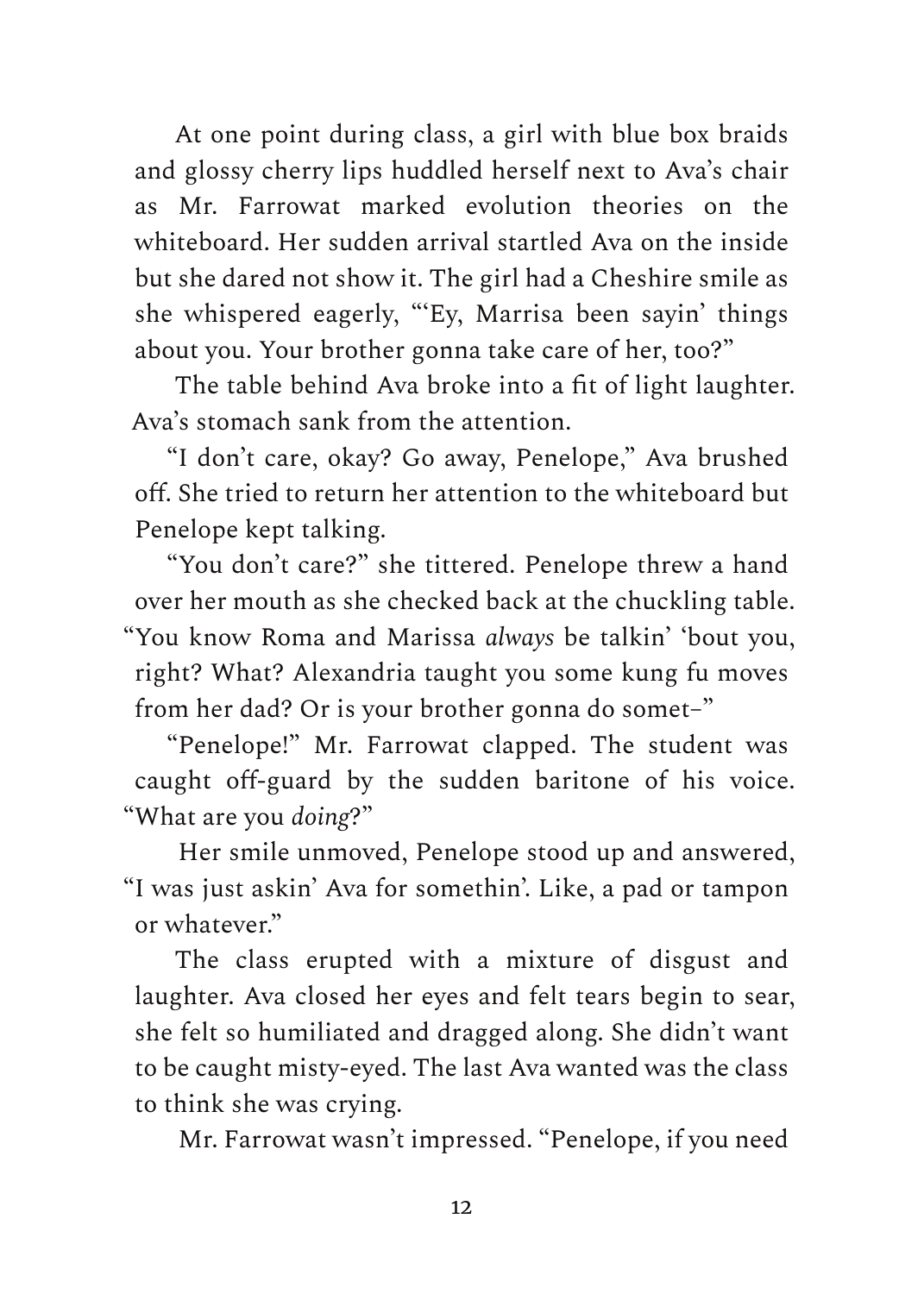At one point during class, a girl with blue box braids and glossy cherry lips huddled herself next to Ava's chair as Mr. Farrowat marked evolution theories on the whiteboard. Her sudden arrival startled Ava on the inside but she dared not show it. The girl had a Cheshire smile as she whispered eagerly, "'Ey, Marrisa been sayin' things about you. Your brother gonna take care of her, too?"

The table behind Ava broke into a fit of light laughter. Ava's stomach sank from the attention.

"I don't care, okay? Go away, Penelope," Ava brushed off. She tried to return her attention to the whiteboard but Penelope kept talking.

"You don't care?" she tittered. Penelope threw a hand over her mouth as she checked back at the chuckling table. "You know Roma and Marissa *always* be talkin' 'bout you, right? What? Alexandria taught you some kung fu moves from her dad? Or is your brother gonna do somet–"

"Penelope!" Mr. Farrowat clapped. The student was caught off-guard by the sudden baritone of his voice. "What are you *doing*?"

Her smile unmoved, Penelope stood up and answered, "I was just askin' Ava for somethin'. Like, a pad or tampon or whatever."

The class erupted with a mixture of disgust and laughter. Ava closed her eyes and felt tears begin to sear, she felt so humiliated and dragged along. She didn't want to be caught misty-eyed. The last Ava wanted was the class to think she was crying.

Mr. Farrowat wasn't impressed. "Penelope, if you need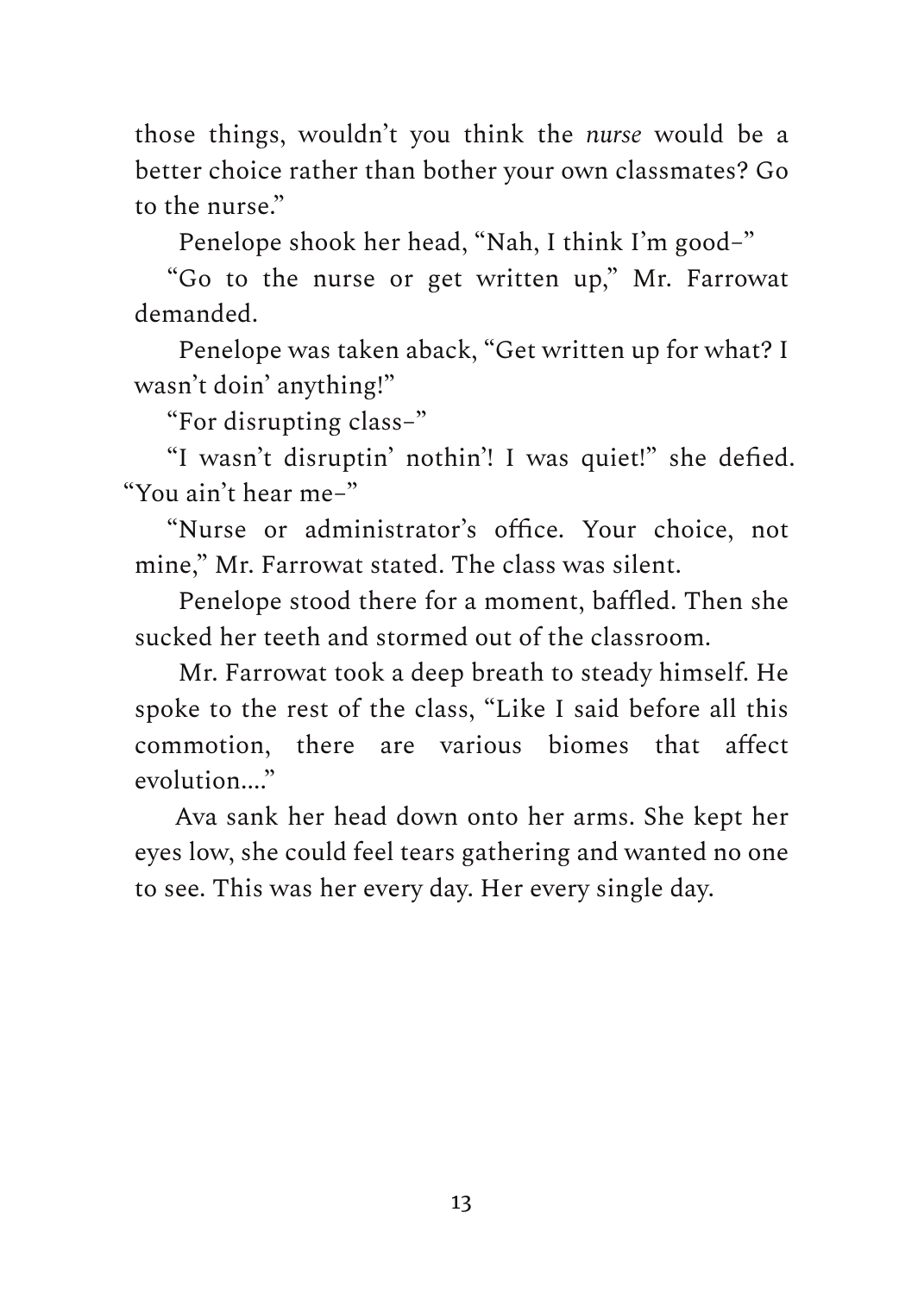those things, wouldn't you think the *nurse* would be a better choice rather than bother your own classmates? Go to the nurse."

Penelope shook her head, "Nah, I think I'm good–"

"Go to the nurse or get written up," Mr. Farrowat demanded.

Penelope was taken aback, "Get written up for what? I wasn't doin' anything!"

"For disrupting class–"

"I wasn't disruptin' nothin'! I was quiet!" she defied. "You ain't hear me–"

"Nurse or administrator's office. Your choice, not mine," Mr. Farrowat stated. The class was silent.

Penelope stood there for a moment, baffled. Then she sucked her teeth and stormed out of the classroom.

Mr. Farrowat took a deep breath to steady himself. He spoke to the rest of the class, "Like I said before all this commotion, there are various biomes that affect evolution...."

Ava sank her head down onto her arms. She kept her eyes low, she could feel tears gathering and wanted no one to see. This was her every day. Her every single day.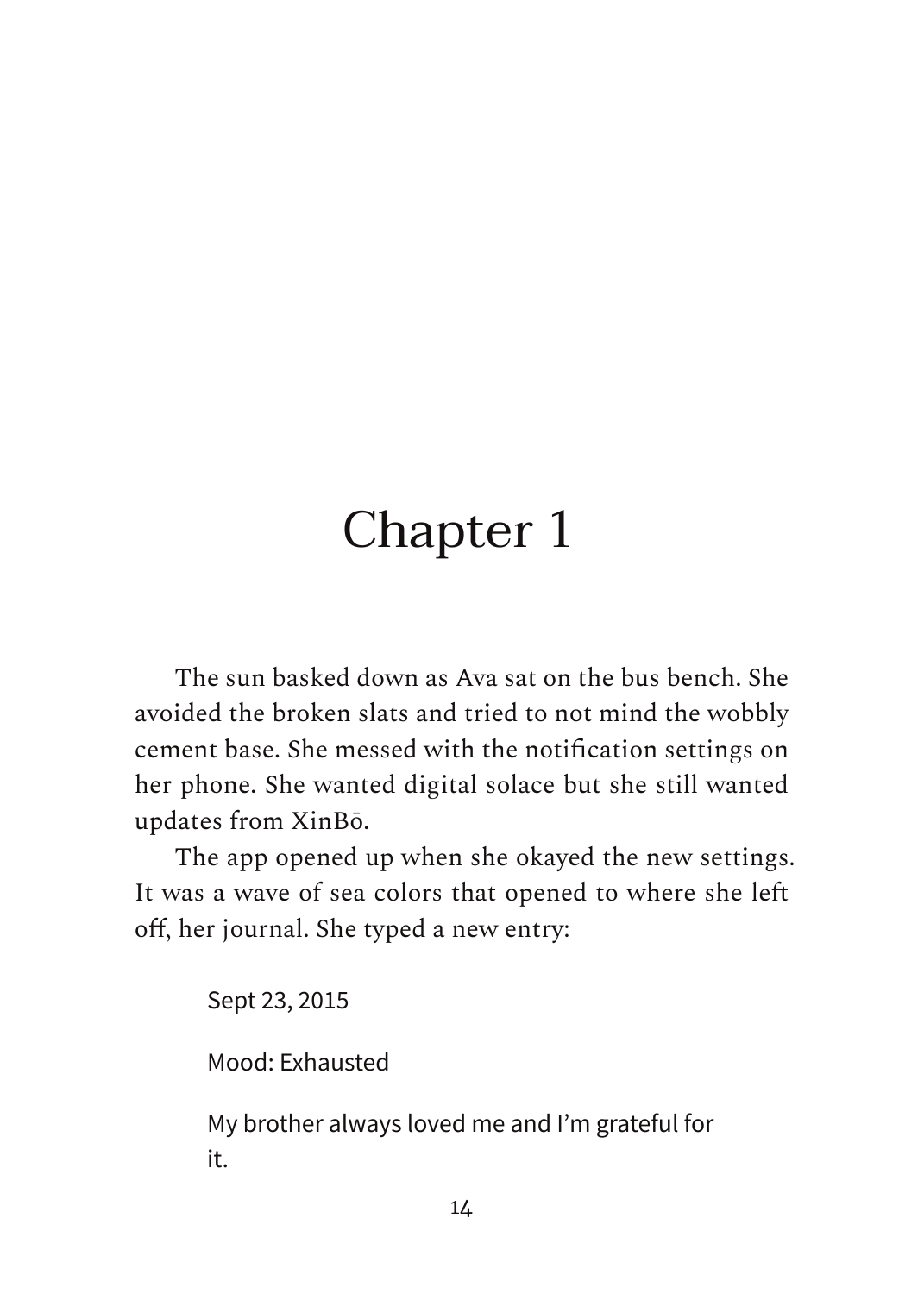## Chapter 1

The sun basked down as Ava sat on the bus bench. She avoided the broken slats and tried to not mind the wobbly cement base. She messed with the notification settings on her phone. She wanted digital solace but she still wanted updates from XinBō.

The app opened up when she okayed the new settings. It was a wave of sea colors that opened to where she left off, her journal. She typed a new entry:

Sept 23, 2015

Mood: Exhausted

My brother always loved me and I'm grateful for it.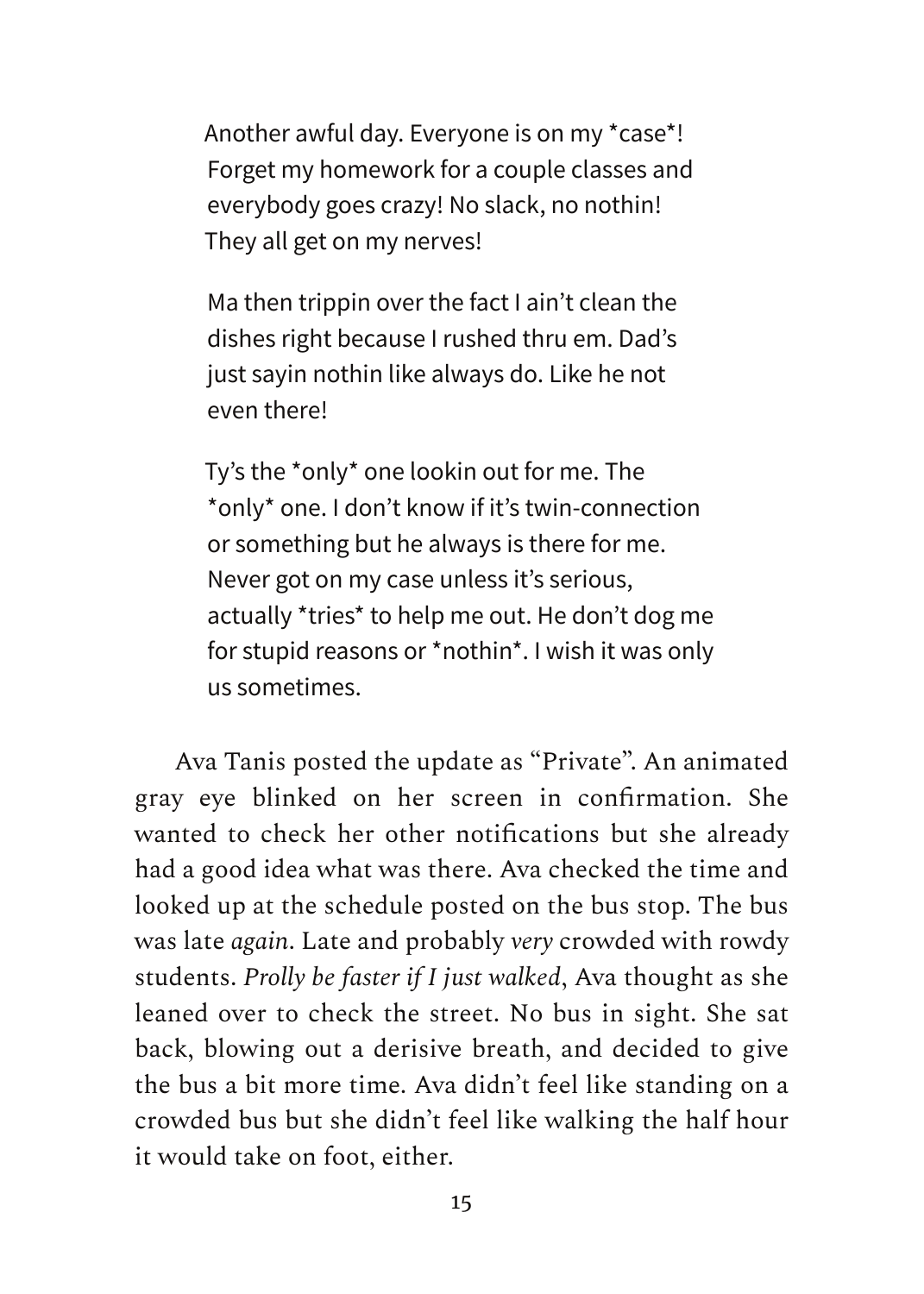Another awful day. Everyone is on my \*case\*! Forget my homework for a couple classes and everybody goes crazy! No slack, no nothin! They all get on my nerves!

Ma then trippin over the fact I ain't clean the dishes right because I rushed thru em. Dad's just sayin nothin like always do. Like he not even there!

Ty's the \*only\* one lookin out for me. The \*only\* one. I don't know if it's twin-connection or something but he always is there for me. Never got on my case unless it's serious, actually \*tries\* to help me out. He don't dog me for stupid reasons or \*nothin\*. I wish it was only us sometimes.

Ava Tanis posted the update as "Private". An animated gray eye blinked on her screen in confirmation. She wanted to check her other notifications but she already had a good idea what was there. Ava checked the time and looked up at the schedule posted on the bus stop. The bus was late *again*. Late and probably *very* crowded with rowdy students. *Prolly be faster if I just walked*, Ava thought as she leaned over to check the street. No bus in sight. She sat back, blowing out a derisive breath, and decided to give the bus a bit more time. Ava didn't feel like standing on a crowded bus but she didn't feel like walking the half hour it would take on foot, either.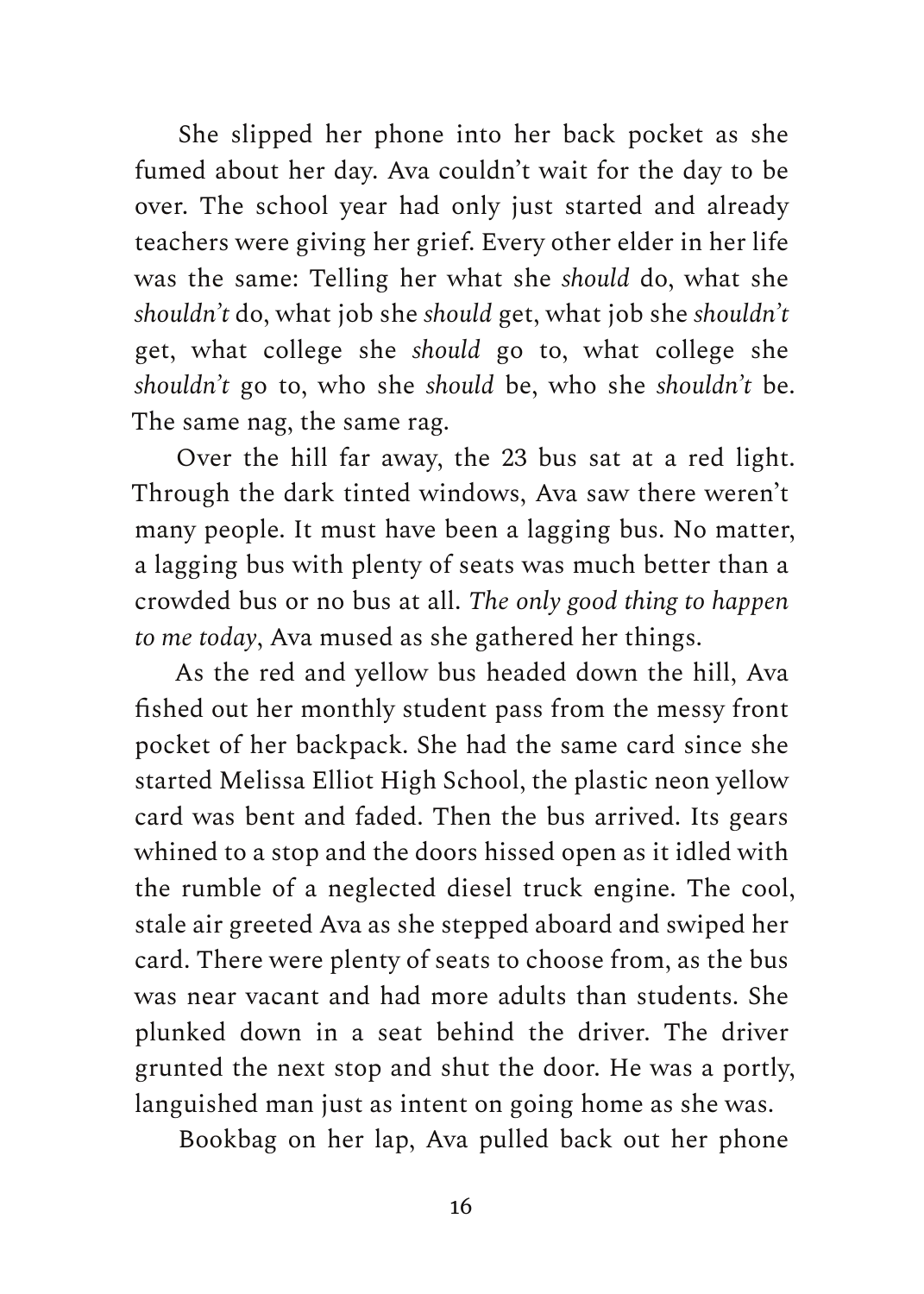She slipped her phone into her back pocket as she fumed about her day. Ava couldn't wait for the day to be over. The school year had only just started and already teachers were giving her grief. Every other elder in her life was the same: Telling her what she *should* do, what she *shouldn't* do, what job she *should* get, what job she *shouldn't* get, what college she *should* go to, what college she *shouldn't* go to, who she *should* be, who she *shouldn't* be. The same nag, the same rag.

Over the hill far away, the 23 bus sat at a red light. Through the dark tinted windows, Ava saw there weren't many people. It must have been a lagging bus. No matter, a lagging bus with plenty of seats was much better than a crowded bus or no bus at all. *The only good thing to happen to me today*, Ava mused as she gathered her things.

As the red and yellow bus headed down the hill, Ava fished out her monthly student pass from the messy front pocket of her backpack. She had the same card since she started Melissa Elliot High School, the plastic neon yellow card was bent and faded. Then the bus arrived. Its gears whined to a stop and the doors hissed open as it idled with the rumble of a neglected diesel truck engine. The cool, stale air greeted Ava as she stepped aboard and swiped her card. There were plenty of seats to choose from, as the bus was near vacant and had more adults than students. She plunked down in a seat behind the driver. The driver grunted the next stop and shut the door. He was a portly, languished man just as intent on going home as she was.

Bookbag on her lap, Ava pulled back out her phone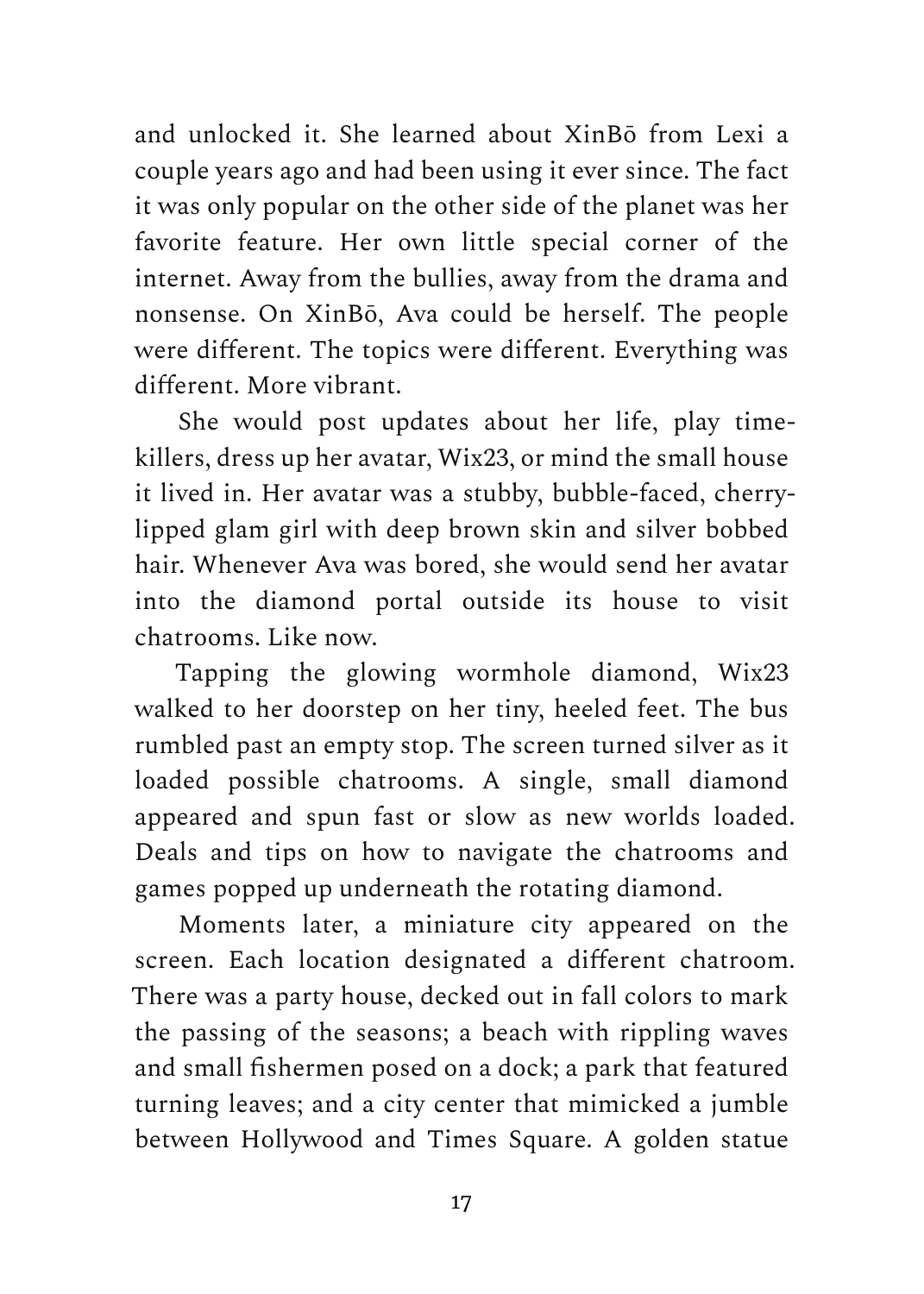and unlocked it. She learned about XinBō from Lexi a couple years ago and had been using it ever since. The fact it was only popular on the other side of the planet was her favorite feature. Her own little special corner of the internet. Away from the bullies, away from the drama and nonsense. On XinBō, Ava could be herself. The people were different. The topics were different. Everything was different. More vibrant.

She would post updates about her life, play timekillers, dress up her avatar, Wix23, or mind the small house it lived in. Her avatar was a stubby, bubble-faced, cherrylipped glam girl with deep brown skin and silver bobbed hair. Whenever Ava was bored, she would send her avatar into the diamond portal outside its house to visit chatrooms. Like now.

Tapping the glowing wormhole diamond, Wix23 walked to her doorstep on her tiny, heeled feet. The bus rumbled past an empty stop. The screen turned silver as it loaded possible chatrooms. A single, small diamond appeared and spun fast or slow as new worlds loaded. Deals and tips on how to navigate the chatrooms and games popped up underneath the rotating diamond.

Moments later, a miniature city appeared on the screen. Each location designated a different chatroom. There was a party house, decked out in fall colors to mark the passing of the seasons; a beach with rippling waves and small fishermen posed on a dock; a park that featured turning leaves; and a city center that mimicked a jumble between Hollywood and Times Square. A golden statue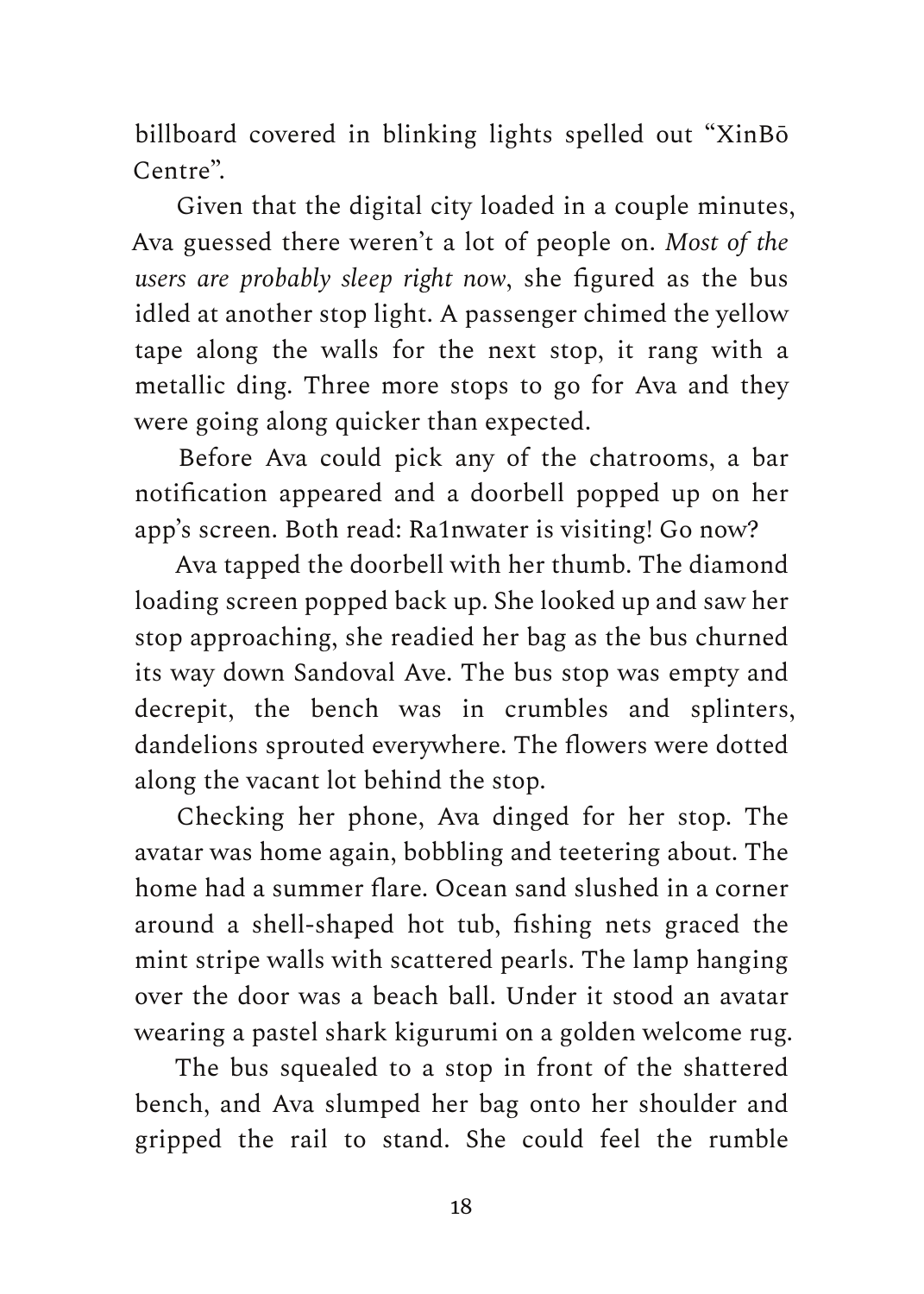billboard covered in blinking lights spelled out "XinBō Centre".

Given that the digital city loaded in a couple minutes, Ava guessed there weren't a lot of people on. *Most of the users are probably sleep right now*, she figured as the bus idled at another stop light. A passenger chimed the yellow tape along the walls for the next stop, it rang with a metallic ding. Three more stops to go for Ava and they were going along quicker than expected.

Before Ava could pick any of the chatrooms, a bar notification appeared and a doorbell popped up on her app's screen. Both read: Ra1nwater is visiting! Go now?

Ava tapped the doorbell with her thumb. The diamond loading screen popped back up. She looked up and saw her stop approaching, she readied her bag as the bus churned its way down Sandoval Ave. The bus stop was empty and decrepit, the bench was in crumbles and splinters, dandelions sprouted everywhere. The flowers were dotted along the vacant lot behind the stop.

Checking her phone, Ava dinged for her stop. The avatar was home again, bobbling and teetering about. The home had a summer flare. Ocean sand slushed in a corner around a shell-shaped hot tub, fishing nets graced the mint stripe walls with scattered pearls. The lamp hanging over the door was a beach ball. Under it stood an avatar wearing a pastel shark kigurumi on a golden welcome rug.

The bus squealed to a stop in front of the shattered bench, and Ava slumped her bag onto her shoulder and gripped the rail to stand. She could feel the rumble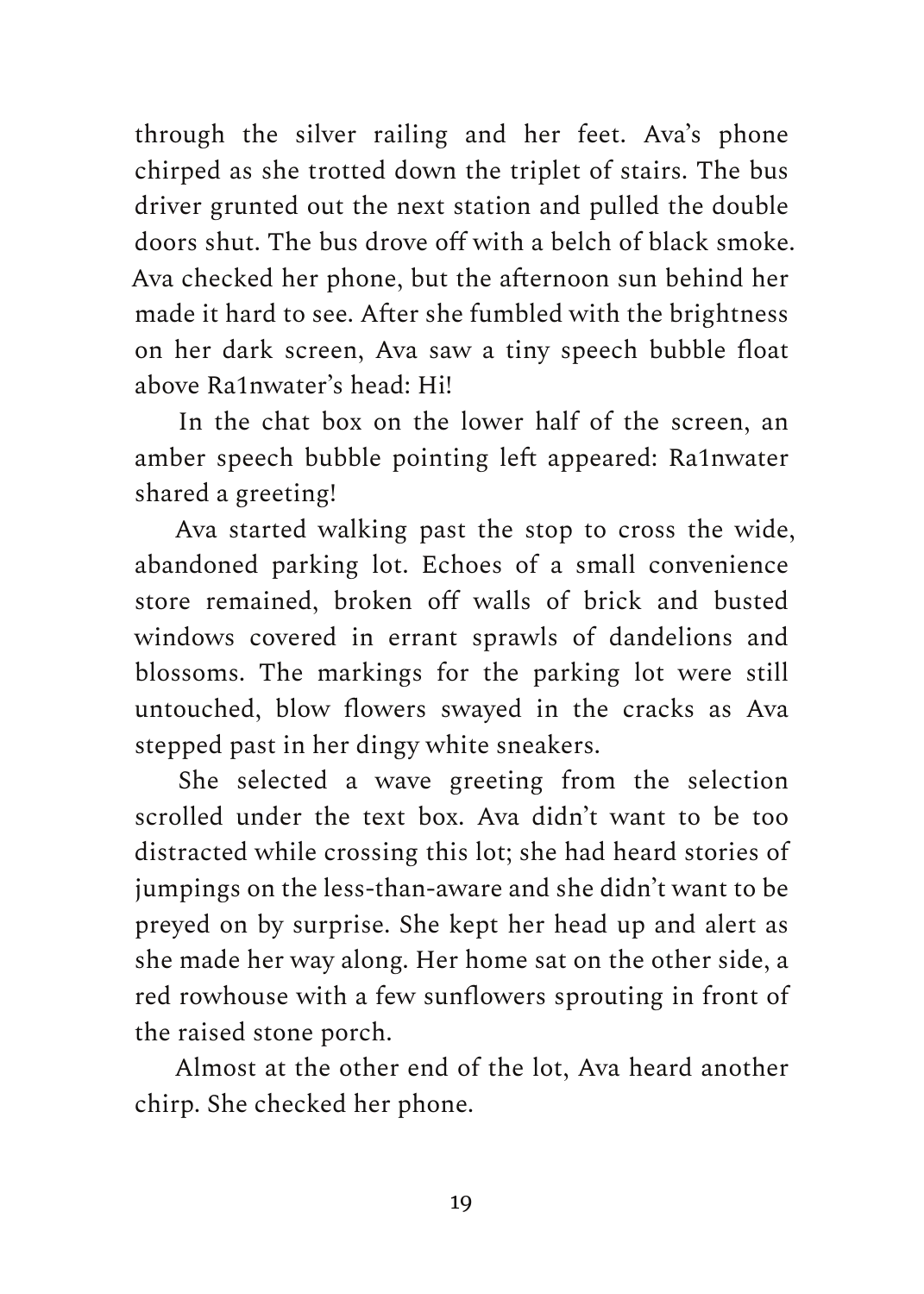through the silver railing and her feet. Ava's phone chirped as she trotted down the triplet of stairs. The bus driver grunted out the next station and pulled the double doors shut. The bus drove off with a belch of black smoke. Ava checked her phone, but the afternoon sun behind her made it hard to see. After she fumbled with the brightness on her dark screen, Ava saw a tiny speech bubble float above Ra1nwater's head: Hi!

In the chat box on the lower half of the screen, an amber speech bubble pointing left appeared: Ra1nwater shared a greeting!

Ava started walking past the stop to cross the wide, abandoned parking lot. Echoes of a small convenience store remained, broken off walls of brick and busted windows covered in errant sprawls of dandelions and blossoms. The markings for the parking lot were still untouched, blow flowers swayed in the cracks as Ava stepped past in her dingy white sneakers.

She selected a wave greeting from the selection scrolled under the text box. Ava didn't want to be too distracted while crossing this lot; she had heard stories of jumpings on the less-than-aware and she didn't want to be preyed on by surprise. She kept her head up and alert as she made her way along. Her home sat on the other side, a red rowhouse with a few sunflowers sprouting in front of the raised stone porch.

Almost at the other end of the lot, Ava heard another chirp. She checked her phone.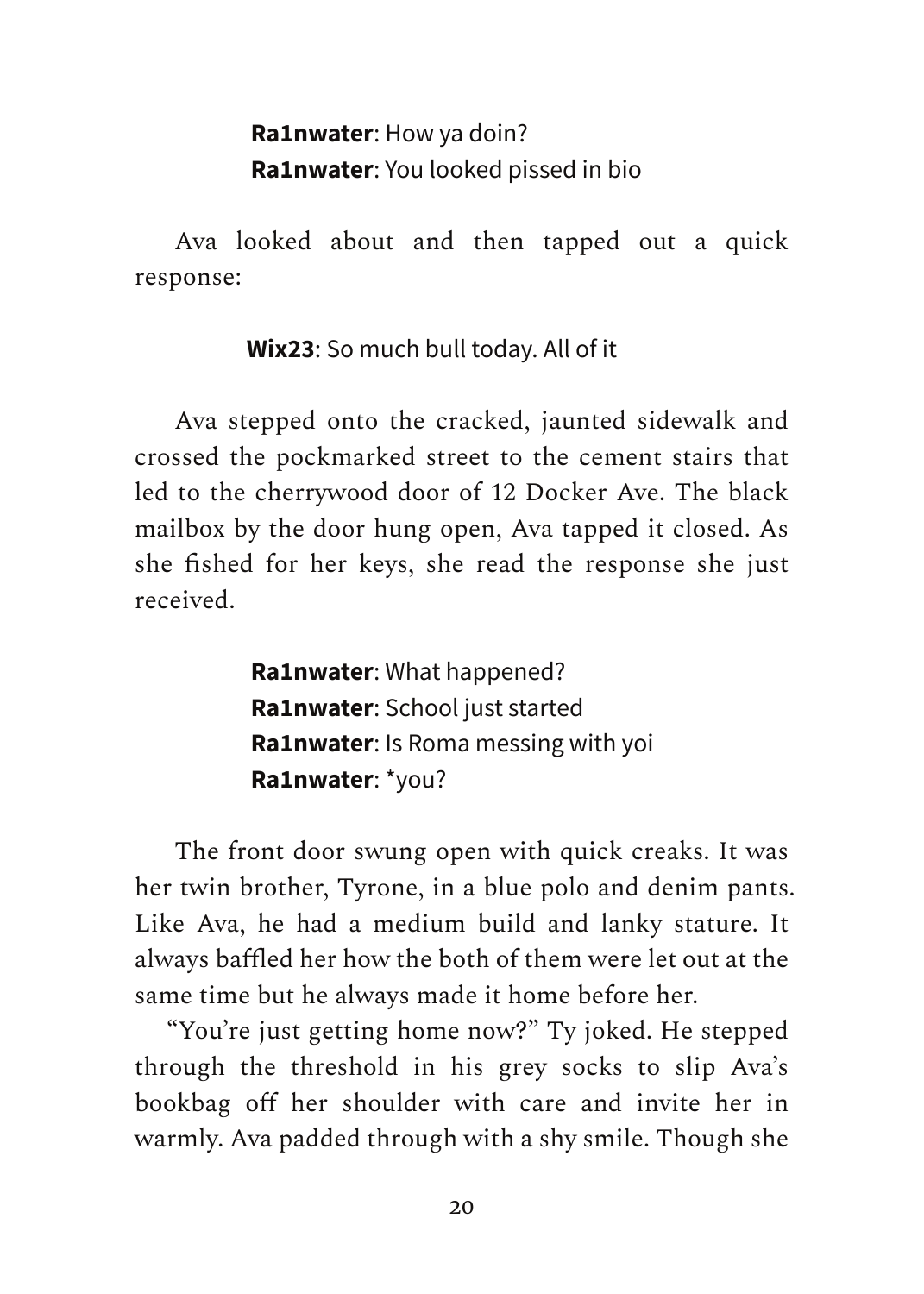#### **Ra1nwater**: How ya doin? **Ra1nwater**: You looked pissed in bio

Ava looked about and then tapped out a quick response:

**Wix23**: So much bull today. All of it

Ava stepped onto the cracked, jaunted sidewalk and crossed the pockmarked street to the cement stairs that led to the cherrywood door of 12 Docker Ave. The black mailbox by the door hung open, Ava tapped it closed. As she fished for her keys, she read the response she just received.

> **Ra1nwater**: What happened? **Ra1nwater**: School just started **Ra1nwater**: Is Roma messing with yoi **Ra1nwater**: \*you?

The front door swung open with quick creaks. It was her twin brother, Tyrone, in a blue polo and denim pants. Like Ava, he had a medium build and lanky stature. It always baffled her how the both of them were let out at the same time but he always made it home before her.

"You're just getting home now?" Ty joked. He stepped through the threshold in his grey socks to slip Ava's bookbag off her shoulder with care and invite her in warmly. Ava padded through with a shy smile. Though she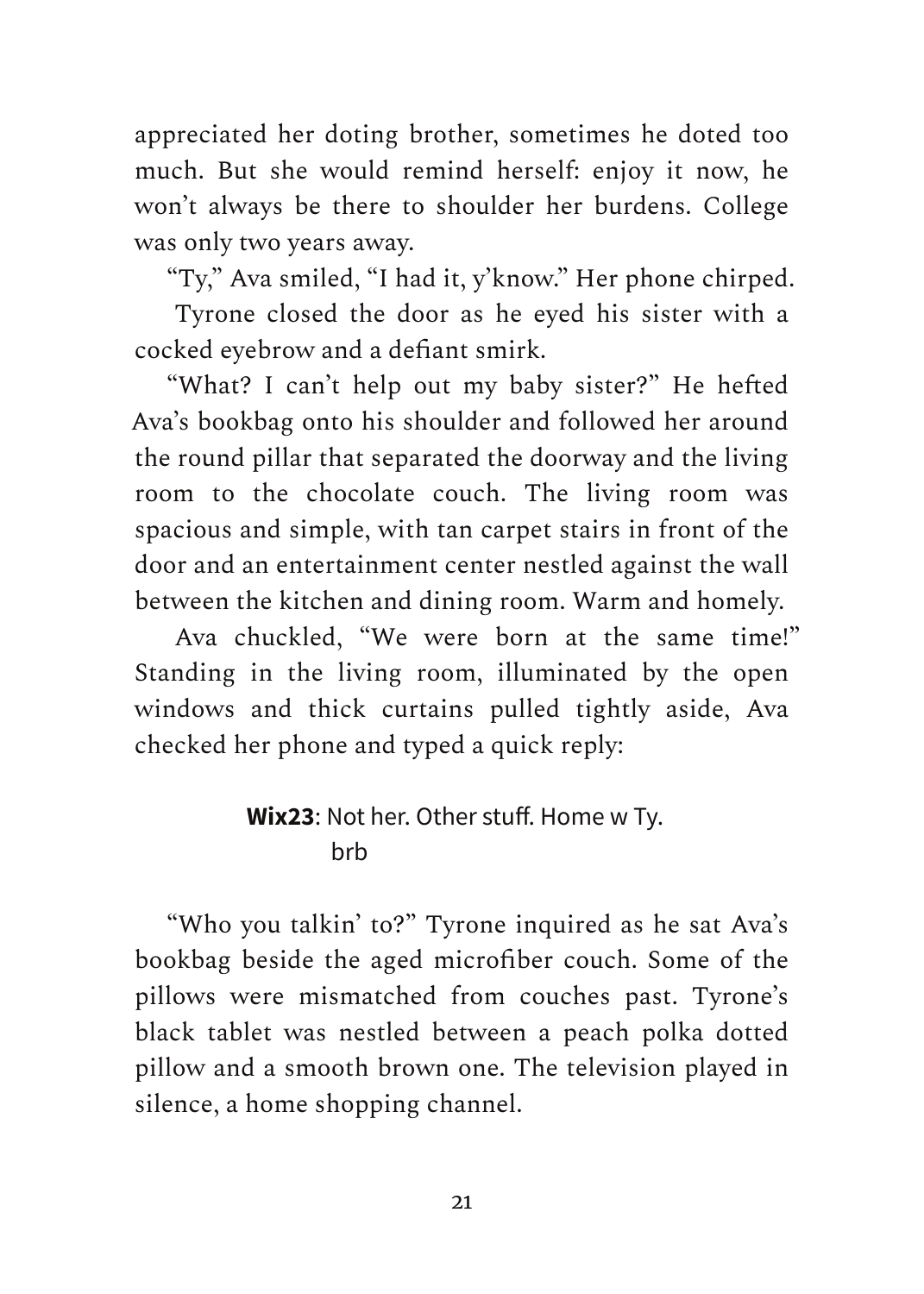appreciated her doting brother, sometimes he doted too much. But she would remind herself: enjoy it now, he won't always be there to shoulder her burdens. College was only two years away.

"Ty," Ava smiled, "I had it, y'know." Her phone chirped.

Tyrone closed the door as he eyed his sister with a cocked eyebrow and a defiant smirk.

"What? I can't help out my baby sister?" He hefted Ava's bookbag onto his shoulder and followed her around the round pillar that separated the doorway and the living room to the chocolate couch. The living room was spacious and simple, with tan carpet stairs in front of the door and an entertainment center nestled against the wall between the kitchen and dining room. Warm and homely.

Ava chuckled, "We were born at the same time!" Standing in the living room, illuminated by the open windows and thick curtains pulled tightly aside, Ava checked her phone and typed a quick reply:

#### **Wix23**: Not her. Other stuff. Home w Ty. brb

"Who you talkin' to?" Tyrone inquired as he sat Ava's bookbag beside the aged microfiber couch. Some of the pillows were mismatched from couches past. Tyrone's black tablet was nestled between a peach polka dotted pillow and a smooth brown one. The television played in silence, a home shopping channel.

21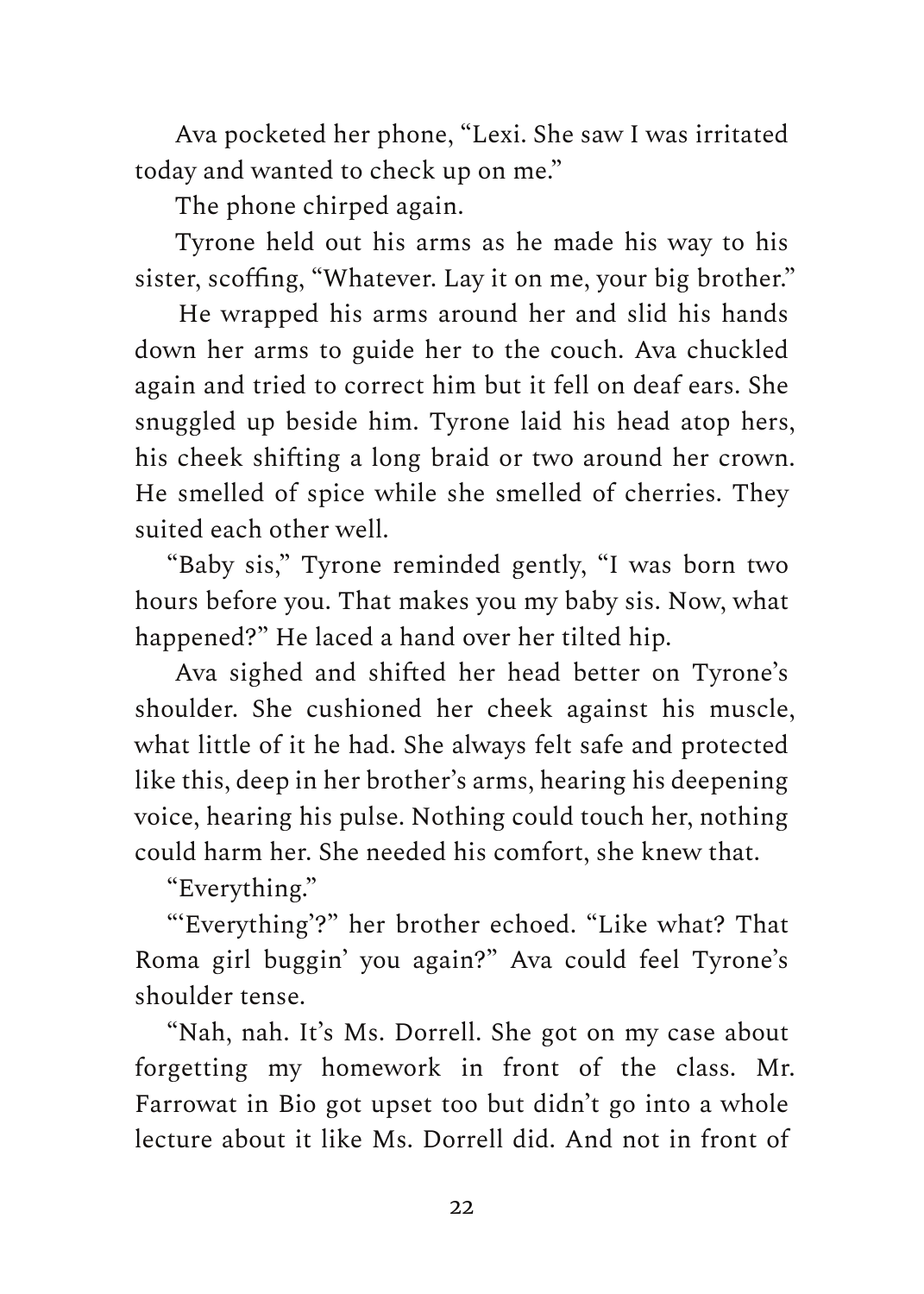Ava pocketed her phone, "Lexi. She saw I was irritated today and wanted to check up on me."

The phone chirped again.

Tyrone held out his arms as he made his way to his sister, scoffing, "Whatever. Lay it on me, your big brother."

He wrapped his arms around her and slid his hands down her arms to guide her to the couch. Ava chuckled again and tried to correct him but it fell on deaf ears. She snuggled up beside him. Tyrone laid his head atop hers, his cheek shifting a long braid or two around her crown. He smelled of spice while she smelled of cherries. They suited each other well.

"Baby sis," Tyrone reminded gently, "I was born two hours before you. That makes you my baby sis. Now, what happened?" He laced a hand over her tilted hip.

Ava sighed and shifted her head better on Tyrone's shoulder. She cushioned her cheek against his muscle, what little of it he had. She always felt safe and protected like this, deep in her brother's arms, hearing his deepening voice, hearing his pulse. Nothing could touch her, nothing could harm her. She needed his comfort, she knew that.

"Everything."

"'Everything'?" her brother echoed. "Like what? That Roma girl buggin' you again?" Ava could feel Tyrone's shoulder tense.

"Nah, nah. It's Ms. Dorrell. She got on my case about forgetting my homework in front of the class. Mr. Farrowat in Bio got upset too but didn't go into a whole lecture about it like Ms. Dorrell did. And not in front of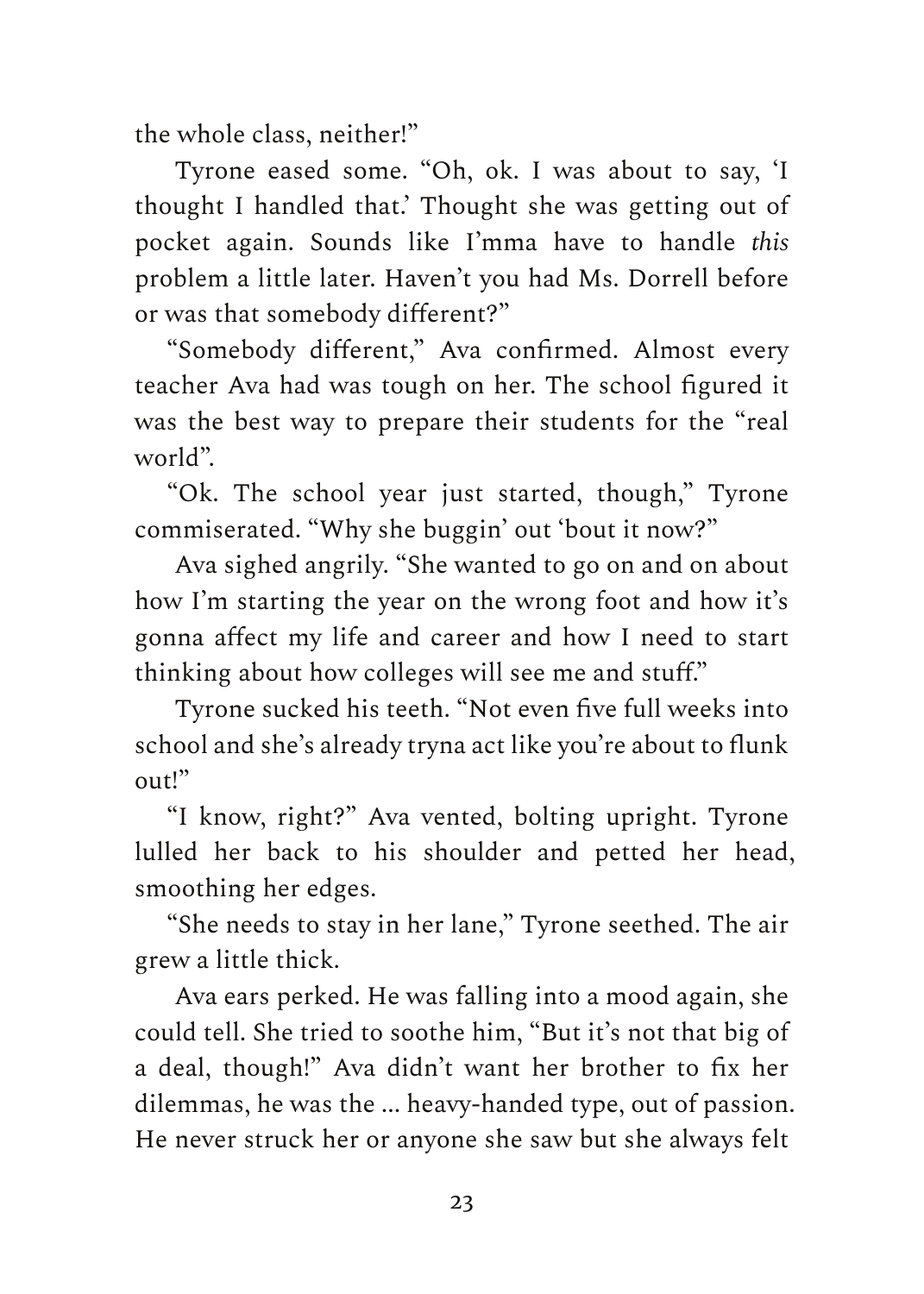the whole class, neither!"

Tyrone eased some. "Oh, ok. I was about to say, 'I thought I handled that.' Thought she was getting out of pocket again. Sounds like I'mma have to handle *this* problem a little later. Haven't you had Ms. Dorrell before or was that somebody different?"

"Somebody different," Ava confirmed. Almost every teacher Ava had was tough on her. The school figured it was the best way to prepare their students for the "real world".

"Ok. The school year just started, though," Tyrone commiserated. "Why she buggin' out 'bout it now?"

Ava sighed angrily. "She wanted to go on and on about how I'm starting the year on the wrong foot and how it's gonna affect my life and career and how I need to start thinking about how colleges will see me and stuff."

Tyrone sucked his teeth. "Not even five full weeks into school and she's already tryna act like you're about to flunk out!"

"I know, right?" Ava vented, bolting upright. Tyrone lulled her back to his shoulder and petted her head, smoothing her edges.

"She needs to stay in her lane," Tyrone seethed. The air grew a little thick.

Ava ears perked. He was falling into a mood again, she could tell. She tried to soothe him, "But it's not that big of a deal, though!" Ava didn't want her brother to fix her dilemmas, he was the ... heavy-handed type, out of passion. He never struck her or anyone she saw but she always felt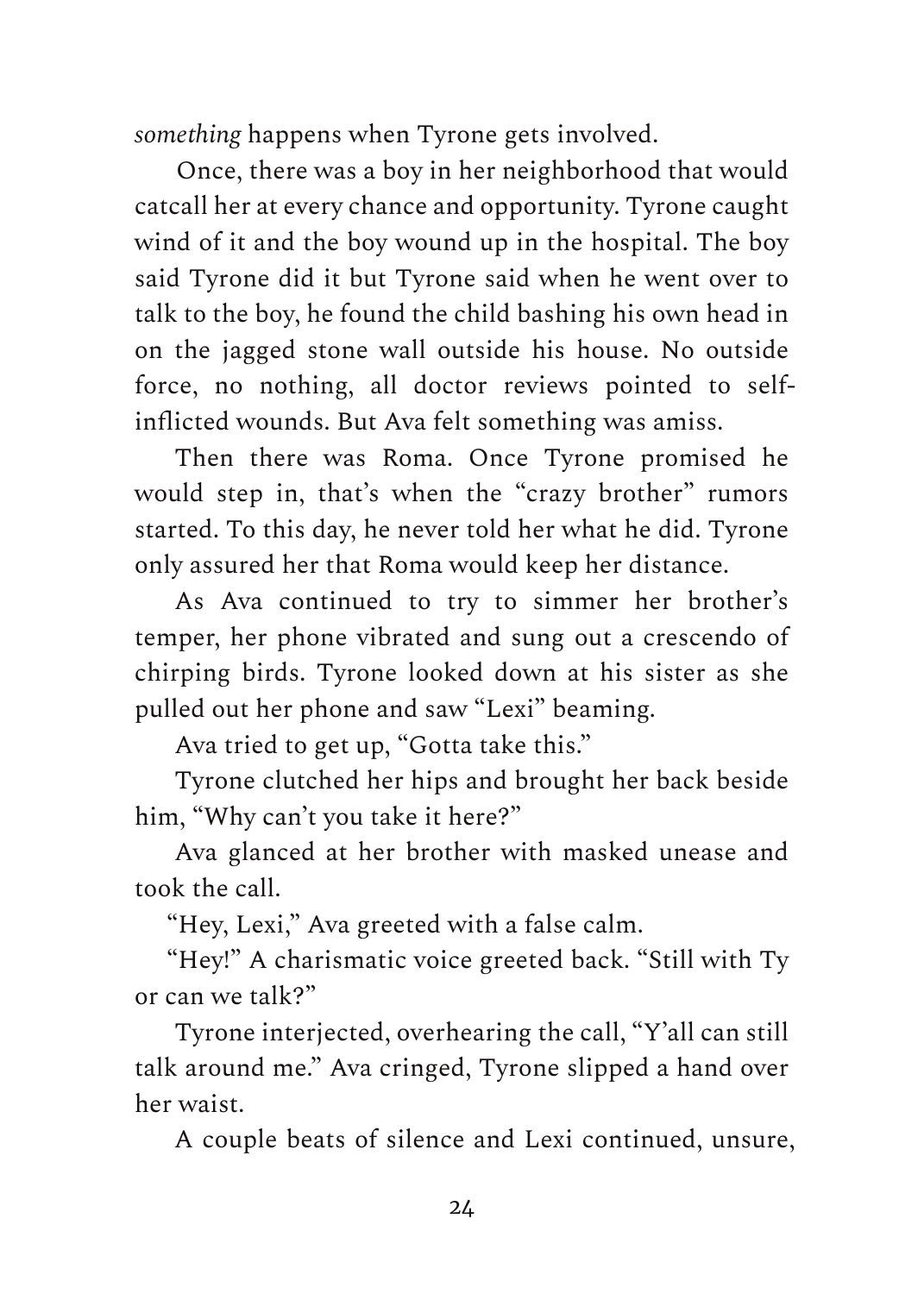*something* happens when Tyrone gets involved.

Once, there was a boy in her neighborhood that would catcall her at every chance and opportunity. Tyrone caught wind of it and the boy wound up in the hospital. The boy said Tyrone did it but Tyrone said when he went over to talk to the boy, he found the child bashing his own head in on the jagged stone wall outside his house. No outside force, no nothing, all doctor reviews pointed to selfinflicted wounds. But Ava felt something was amiss.

Then there was Roma. Once Tyrone promised he would step in, that's when the "crazy brother" rumors started. To this day, he never told her what he did. Tyrone only assured her that Roma would keep her distance.

As Ava continued to try to simmer her brother's temper, her phone vibrated and sung out a crescendo of chirping birds. Tyrone looked down at his sister as she pulled out her phone and saw "Lexi" beaming.

Ava tried to get up, "Gotta take this."

Tyrone clutched her hips and brought her back beside him, "Why can't you take it here?"

Ava glanced at her brother with masked unease and took the call.

"Hey, Lexi," Ava greeted with a false calm.

"Hey!" A charismatic voice greeted back. "Still with Ty or can we talk?"

Tyrone interjected, overhearing the call, "Y'all can still talk around me." Ava cringed, Tyrone slipped a hand over her waist.

A couple beats of silence and Lexi continued, unsure,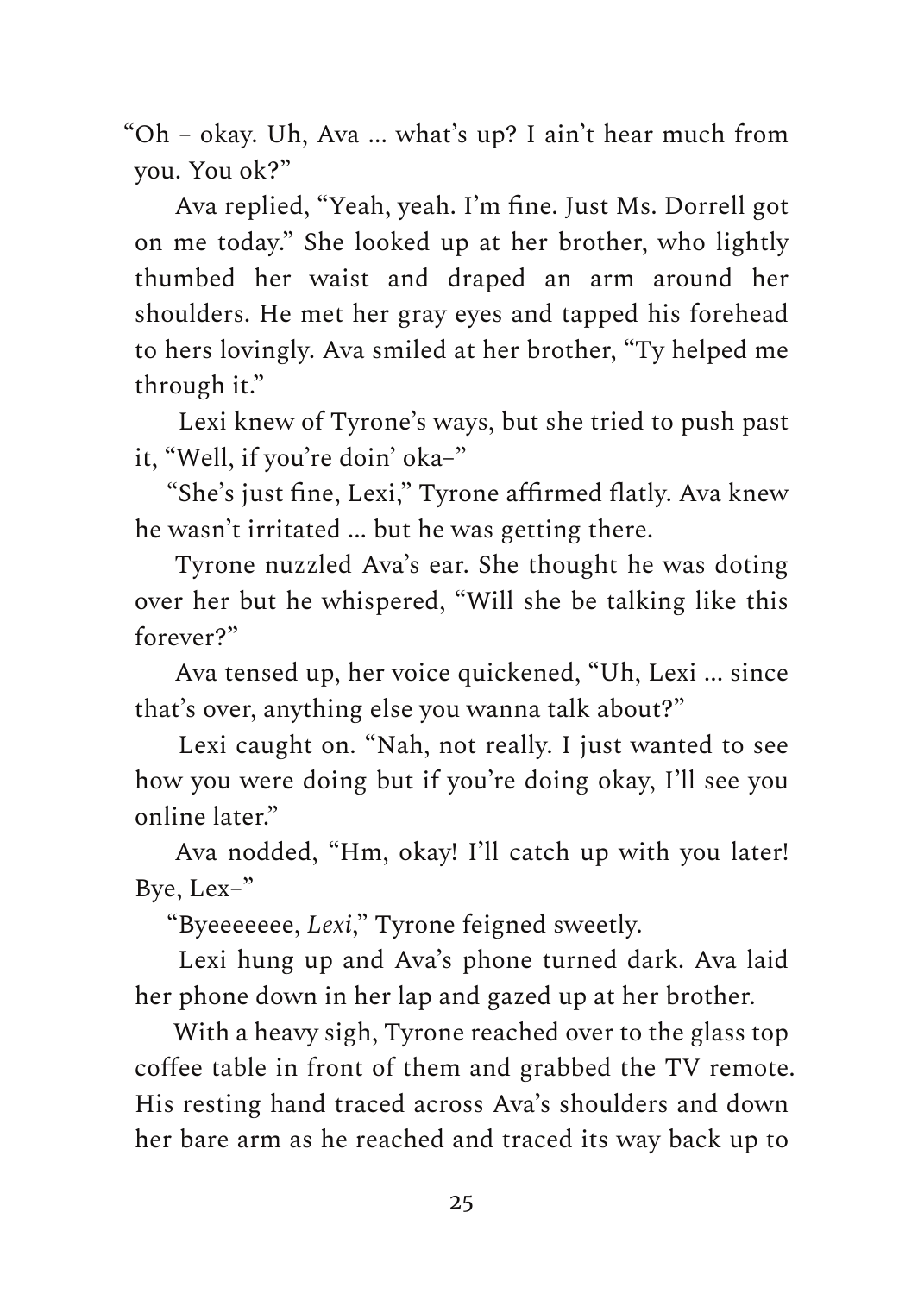"Oh – okay. Uh, Ava ... what's up? I ain't hear much from you. You ok?"

Ava replied, "Yeah, yeah. I'm fine. Just Ms. Dorrell got on me today." She looked up at her brother, who lightly thumbed her waist and draped an arm around her shoulders. He met her gray eyes and tapped his forehead to hers lovingly. Ava smiled at her brother, "Ty helped me through it."

Lexi knew of Tyrone's ways, but she tried to push past it, "Well, if you're doin' oka–"

"She's just fine, Lexi," Tyrone affirmed flatly. Ava knew he wasn't irritated ... but he was getting there.

Tyrone nuzzled Ava's ear. She thought he was doting over her but he whispered, "Will she be talking like this forever?"

Ava tensed up, her voice quickened, "Uh, Lexi ... since that's over, anything else you wanna talk about?"

Lexi caught on. "Nah, not really. I just wanted to see how you were doing but if you're doing okay, I'll see you online later."

Ava nodded, "Hm, okay! I'll catch up with you later! Bye, Lex–"

"Byeeeeeee, *Lexi*," Tyrone feigned sweetly.

Lexi hung up and Ava's phone turned dark. Ava laid her phone down in her lap and gazed up at her brother.

With a heavy sigh, Tyrone reached over to the glass top coffee table in front of them and grabbed the TV remote. His resting hand traced across Ava's shoulders and down her bare arm as he reached and traced its way back up to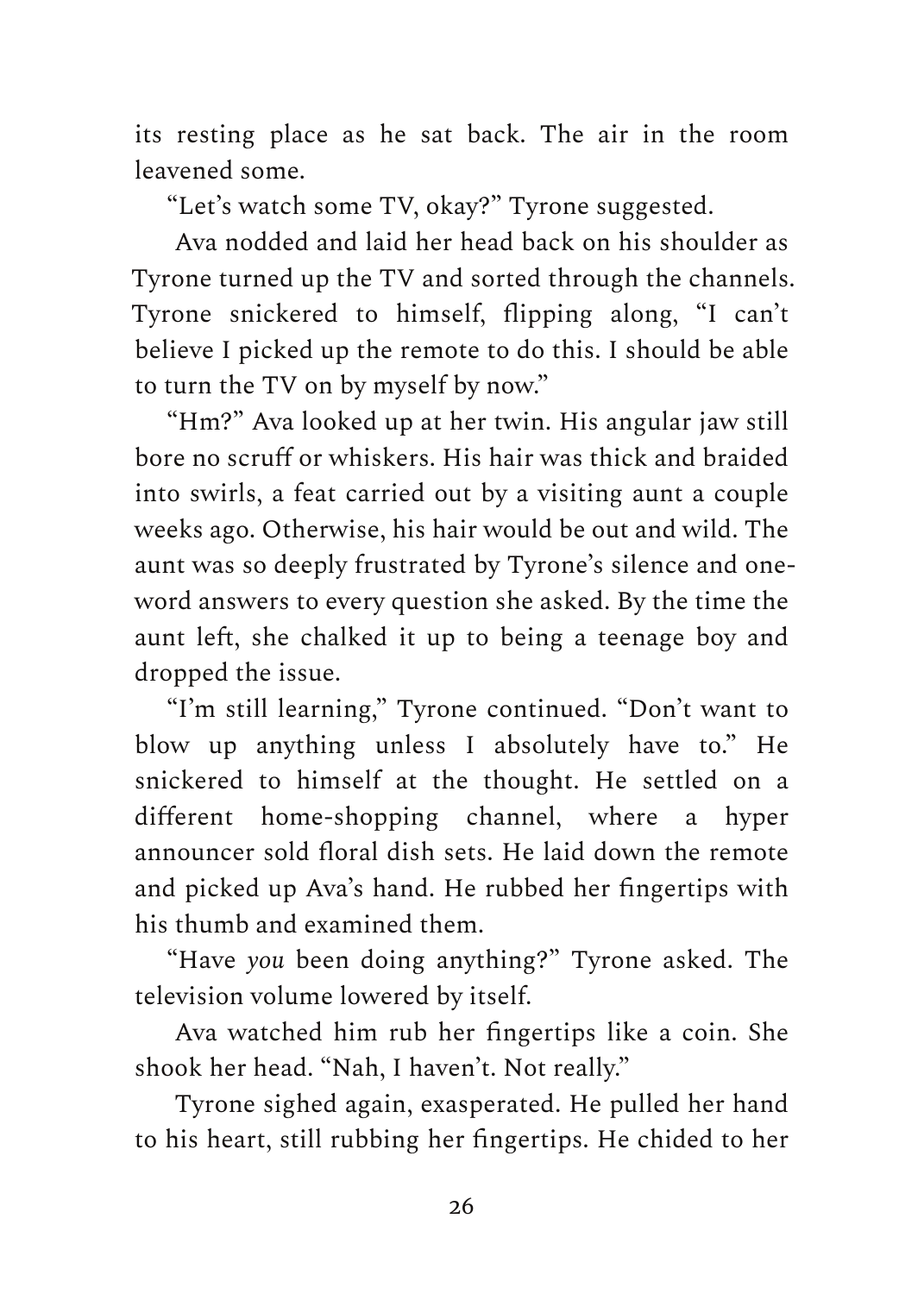its resting place as he sat back. The air in the room leavened some.

"Let's watch some TV, okay?" Tyrone suggested.

Ava nodded and laid her head back on his shoulder as Tyrone turned up the TV and sorted through the channels. Tyrone snickered to himself, flipping along, "I can't believe I picked up the remote to do this. I should be able to turn the TV on by myself by now."

"Hm?" Ava looked up at her twin. His angular jaw still bore no scruff or whiskers. His hair was thick and braided into swirls, a feat carried out by a visiting aunt a couple weeks ago. Otherwise, his hair would be out and wild. The aunt was so deeply frustrated by Tyrone's silence and oneword answers to every question she asked. By the time the aunt left, she chalked it up to being a teenage boy and dropped the issue.

"I'm still learning," Tyrone continued. "Don't want to blow up anything unless I absolutely have to." He snickered to himself at the thought. He settled on a different home-shopping channel, where a hyper announcer sold floral dish sets. He laid down the remote and picked up Ava's hand. He rubbed her fingertips with his thumb and examined them.

"Have *you* been doing anything?" Tyrone asked. The television volume lowered by itself.

Ava watched him rub her fingertips like a coin. She shook her head. "Nah, I haven't. Not really."

Tyrone sighed again, exasperated. He pulled her hand to his heart, still rubbing her fingertips. He chided to her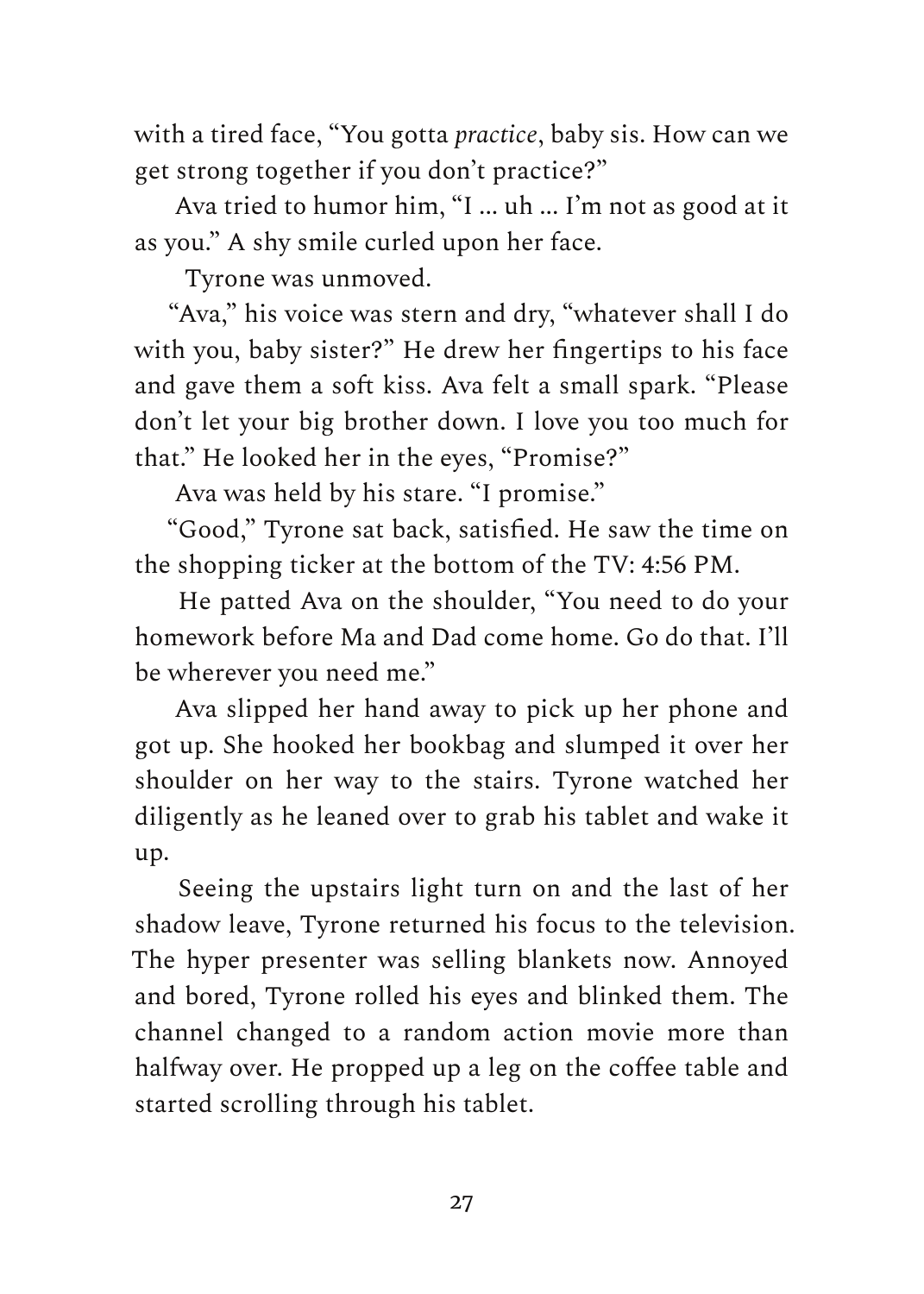with a tired face, "You gotta *practice*, baby sis. How can we get strong together if you don't practice?"

Ava tried to humor him, "I ... uh ... I'm not as good at it as you." A shy smile curled upon her face.

Tyrone was unmoved.

"Ava," his voice was stern and dry, "whatever shall I do with you, baby sister?" He drew her fingertips to his face and gave them a soft kiss. Ava felt a small spark. "Please don't let your big brother down. I love you too much for that." He looked her in the eyes, "Promise?"

Ava was held by his stare. "I promise."

"Good," Tyrone sat back, satisfied. He saw the time on the shopping ticker at the bottom of the TV: 4:56 PM.

He patted Ava on the shoulder, "You need to do your homework before Ma and Dad come home. Go do that. I'll be wherever you need me."

Ava slipped her hand away to pick up her phone and got up. She hooked her bookbag and slumped it over her shoulder on her way to the stairs. Tyrone watched her diligently as he leaned over to grab his tablet and wake it up.

Seeing the upstairs light turn on and the last of her shadow leave, Tyrone returned his focus to the television. The hyper presenter was selling blankets now. Annoyed and bored, Tyrone rolled his eyes and blinked them. The channel changed to a random action movie more than halfway over. He propped up a leg on the coffee table and started scrolling through his tablet.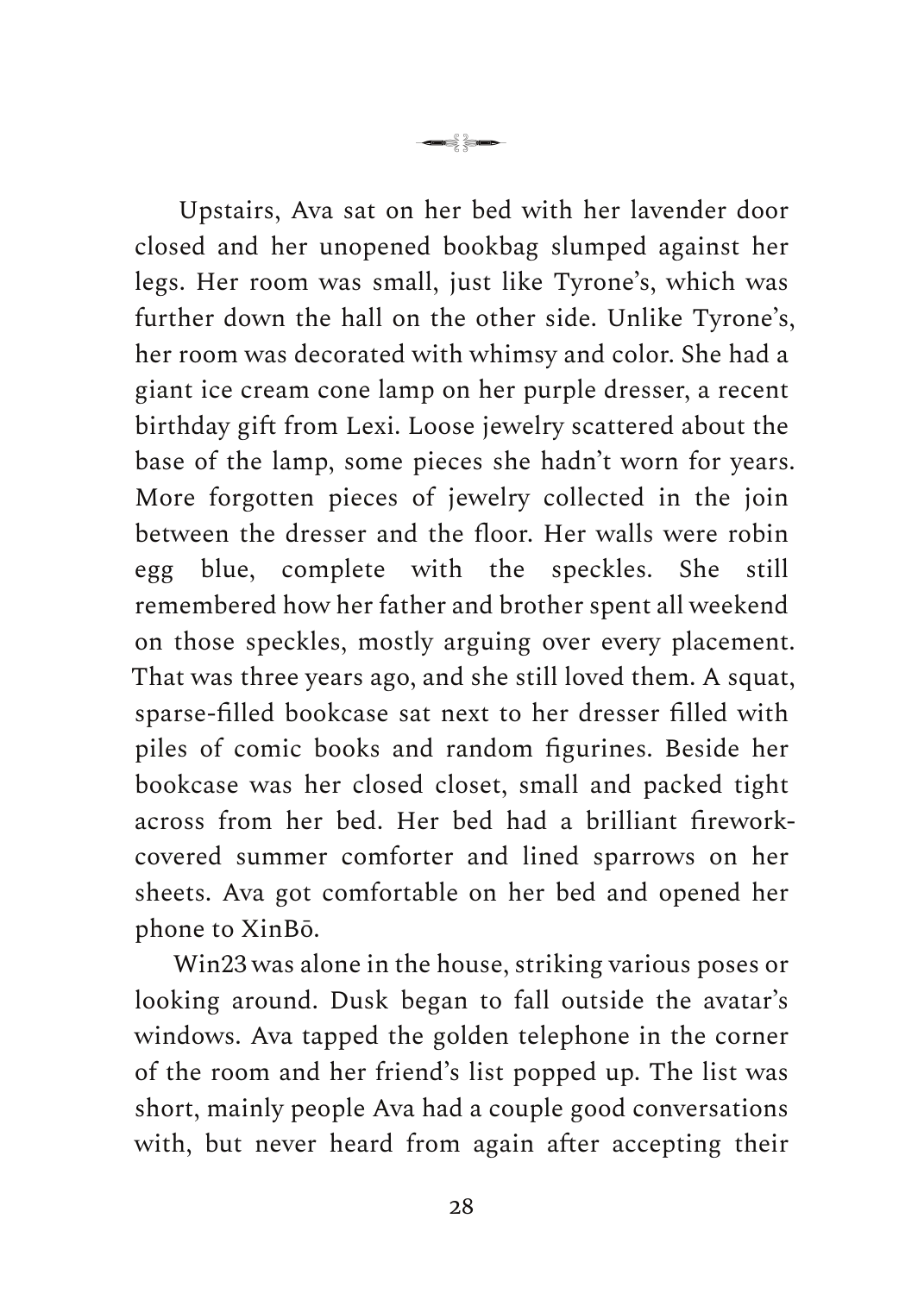Upstairs, Ava sat on her bed with her lavender door closed and her unopened bookbag slumped against her legs. Her room was small, just like Tyrone's, which was further down the hall on the other side. Unlike Tyrone's, her room was decorated with whimsy and color. She had a giant ice cream cone lamp on her purple dresser, a recent birthday gift from Lexi. Loose jewelry scattered about the base of the lamp, some pieces she hadn't worn for years. More forgotten pieces of jewelry collected in the join between the dresser and the floor. Her walls were robin egg blue, complete with the speckles. She still remembered how her father and brother spent all weekend on those speckles, mostly arguing over every placement. That was three years ago, and she still loved them. A squat, sparse-filled bookcase sat next to her dresser filled with piles of comic books and random figurines. Beside her bookcase was her closed closet, small and packed tight across from her bed. Her bed had a brilliant fireworkcovered summer comforter and lined sparrows on her sheets. Ava got comfortable on her bed and opened her phone to XinBō.

— de a

Win23 was alone in the house, striking various poses or looking around. Dusk began to fall outside the avatar's windows. Ava tapped the golden telephone in the corner of the room and her friend's list popped up. The list was short, mainly people Ava had a couple good conversations with, but never heard from again after accepting their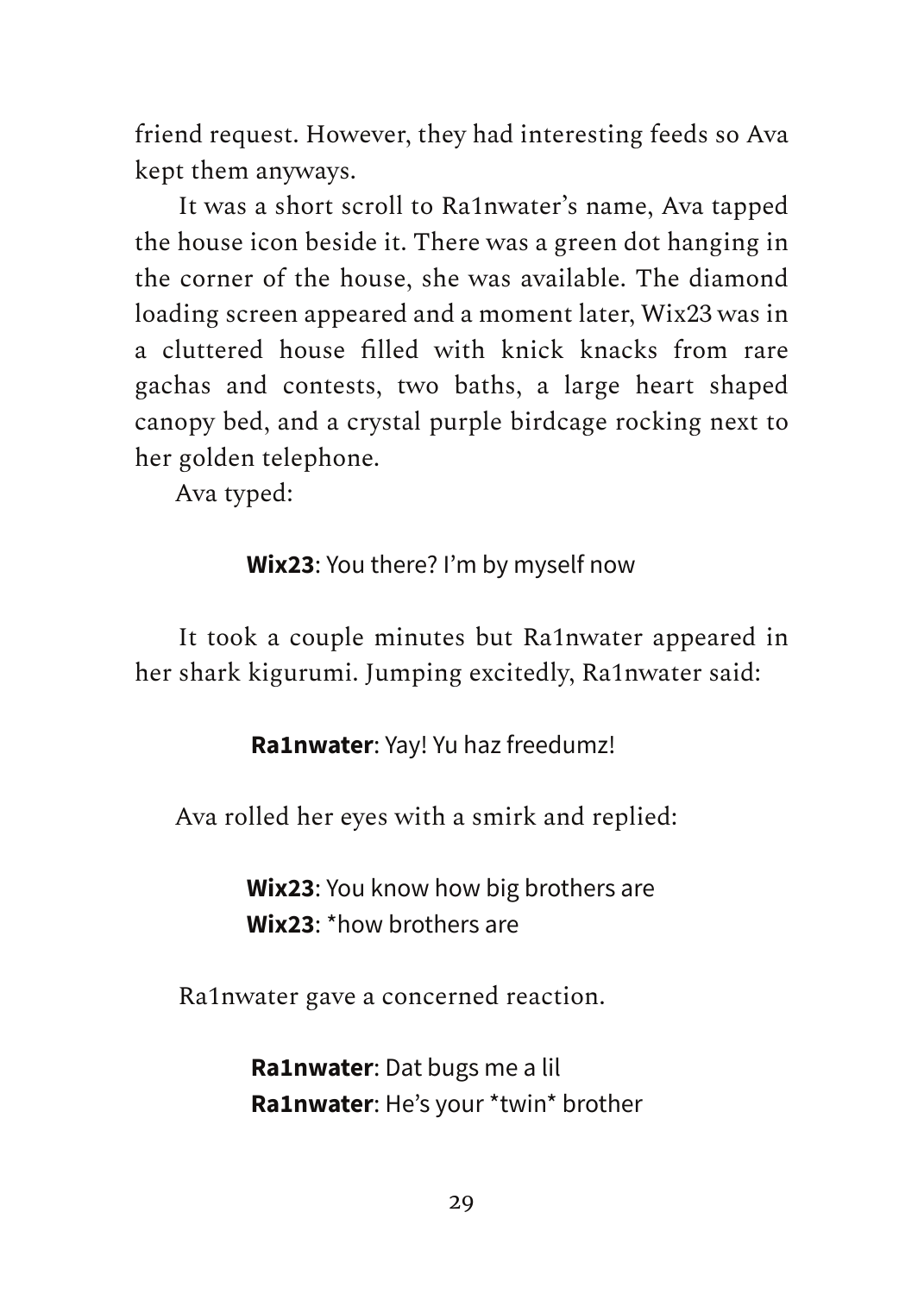friend request. However, they had interesting feeds so Ava kept them anyways.

It was a short scroll to Ra1nwater's name, Ava tapped the house icon beside it. There was a green dot hanging in the corner of the house, she was available. The diamond loading screen appeared and a moment later, Wix23 was in a cluttered house filled with knick knacks from rare gachas and contests, two baths, a large heart shaped canopy bed, and a crystal purple birdcage rocking next to her golden telephone.

Ava typed:

#### **Wix23**: You there? I'm by myself now

It took a couple minutes but Ra1nwater appeared in her shark kigurumi. Jumping excitedly, Ra1nwater said:

**Ra1nwater**: Yay! Yu haz freedumz!

Ava rolled her eyes with a smirk and replied:

**Wix23**: You know how big brothers are **Wix23**: \*how brothers are

Ra1nwater gave a concerned reaction.

**Ra1nwater**: Dat bugs me a lil **Ra1nwater**: He's your \*twin\* brother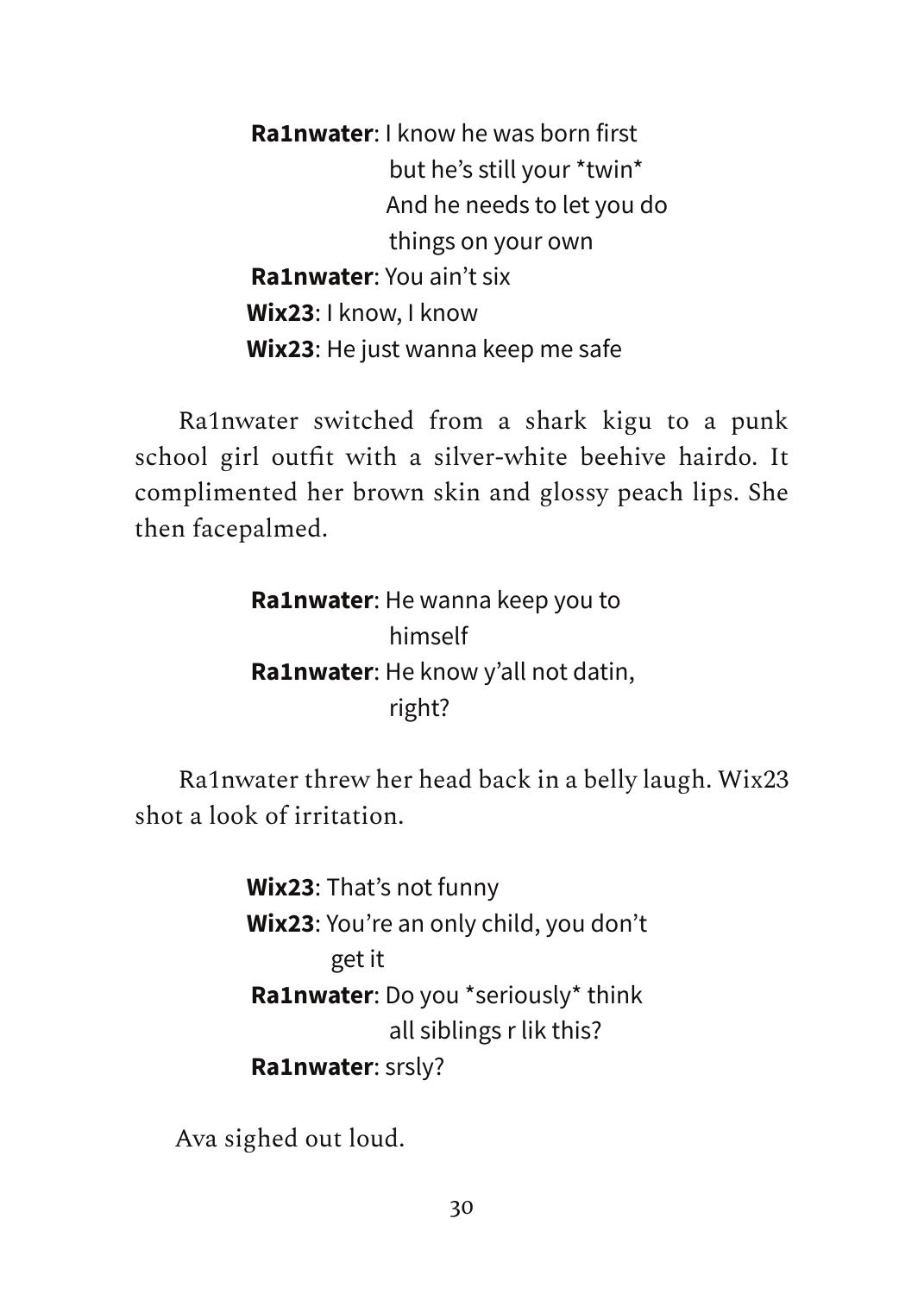**Ra1nwater**: I know he was born first but he's still your \*twin\* And he needs to let you do things on your own **Ra1nwater**: You ain't six **Wix23**: I know, I know **Wix23**: He just wanna keep me safe

Ra1nwater switched from a shark kigu to a punk school girl outfit with a silver-white beehive hairdo. It complimented her brown skin and glossy peach lips. She then facepalmed.

> **Ra1nwater**: He wanna keep you to himself **Ra1nwater**: He know y'all not datin, right?

Ra1nwater threw her head back in a belly laugh. Wix23 shot a look of irritation.

> **Wix23**: That's not funny **Wix23**: You're an only child, you don't get it **Ra1nwater**: Do you \*seriously\* think all siblings r lik this? **Ra1nwater**: srsly?

Ava sighed out loud.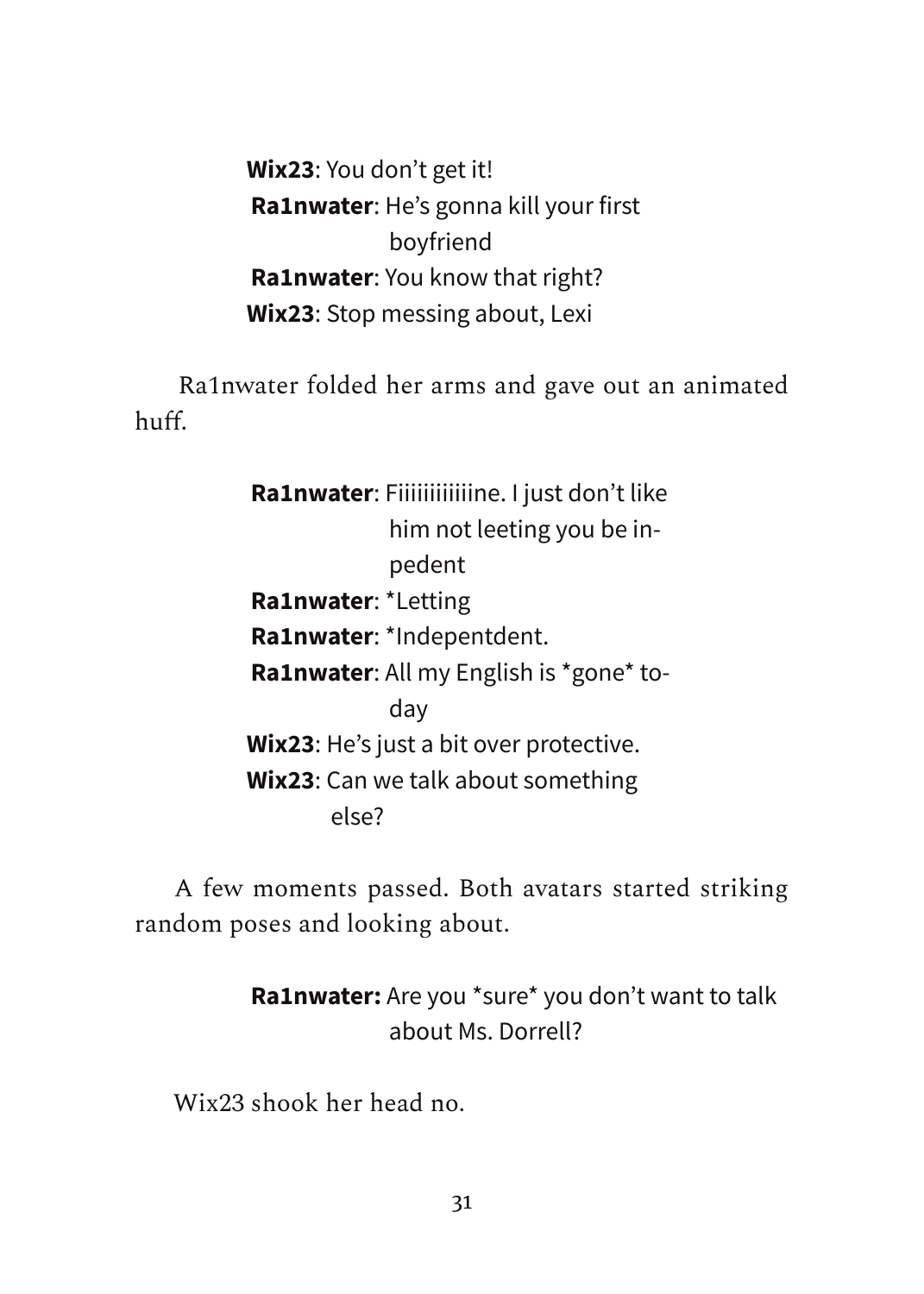**Wix23**: You don't get it! **Ra1nwater**: He's gonna kill your first boyfriend **Ra1nwater**: You know that right? **Wix23**: Stop messing about, Lexi

Ra1nwater folded her arms and gave out an animated huff.

> **Ra1nwater**: Fiiiiiiiiiiiine. I just don't like him not leeting you be inpedent **Ra1nwater**: \*Letting **Ra1nwater**: \*Indepentdent. **Ra1nwater**: All my English is \*gone\* today **Wix23**: He's just a bit over protective. **Wix23**: Can we talk about something else?

A few moments passed. Both avatars started striking random poses and looking about.

> **Ra1nwater:** Are you \*sure\* you don't want to talk about Ms. Dorrell?

Wix23 shook her head no.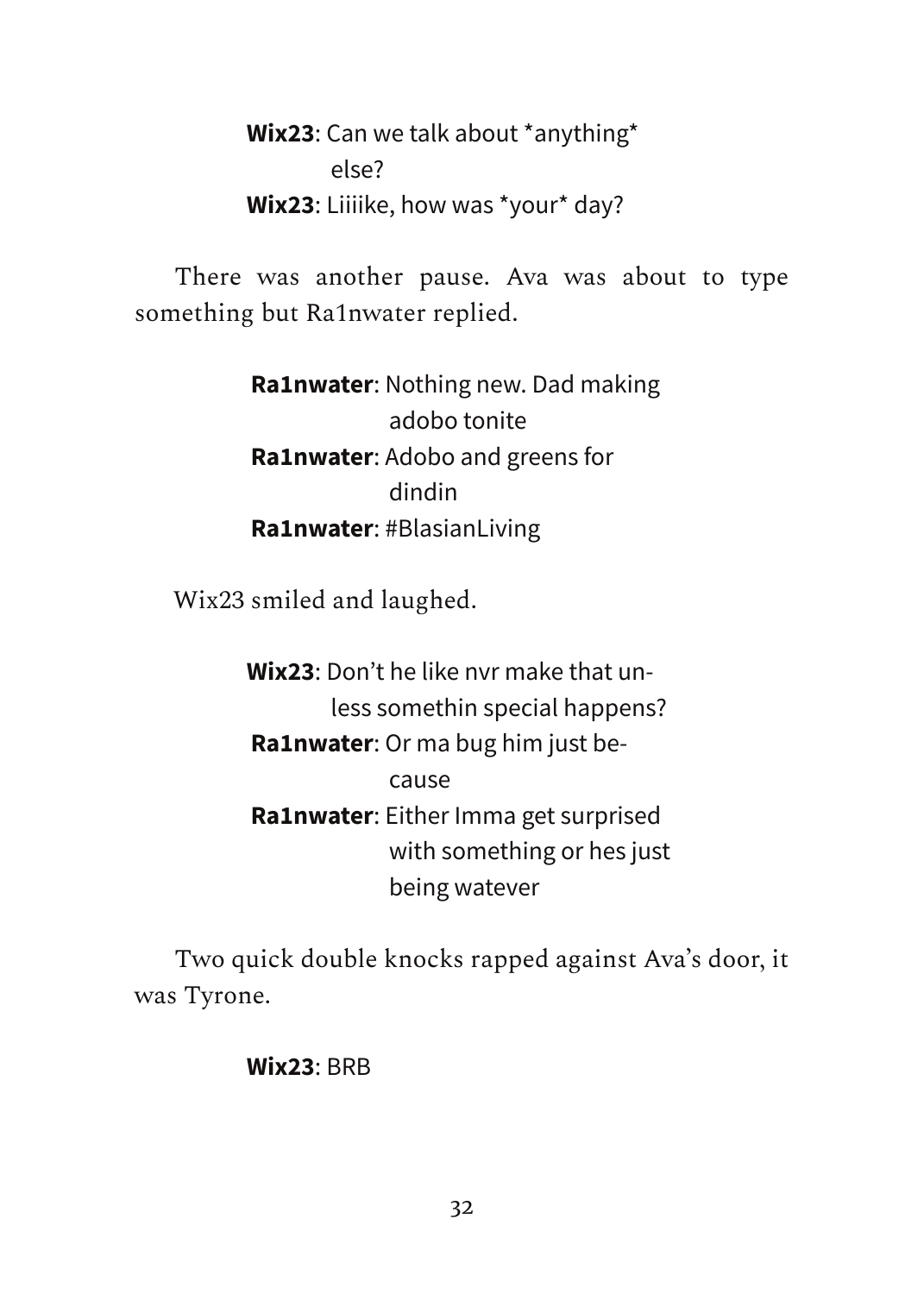**Wix23**: Can we talk about \*anything\* else? **Wix23**: Liiiike, how was \*your\* day?

There was another pause. Ava was about to type something but Ra1nwater replied.

> **Ra1nwater**: Nothing new. Dad making adobo tonite **Ra1nwater**: Adobo and greens for dindin **Ra1nwater**: #BlasianLiving

Wix23 smiled and laughed.

**Wix23**: Don't he like nvr make that unless somethin special happens? **Ra1nwater**: Or ma bug him just because **Ra1nwater**: Either Imma get surprised with something or hes just being watever

Two quick double knocks rapped against Ava's door, it was Tyrone.

#### **Wix23**: BRB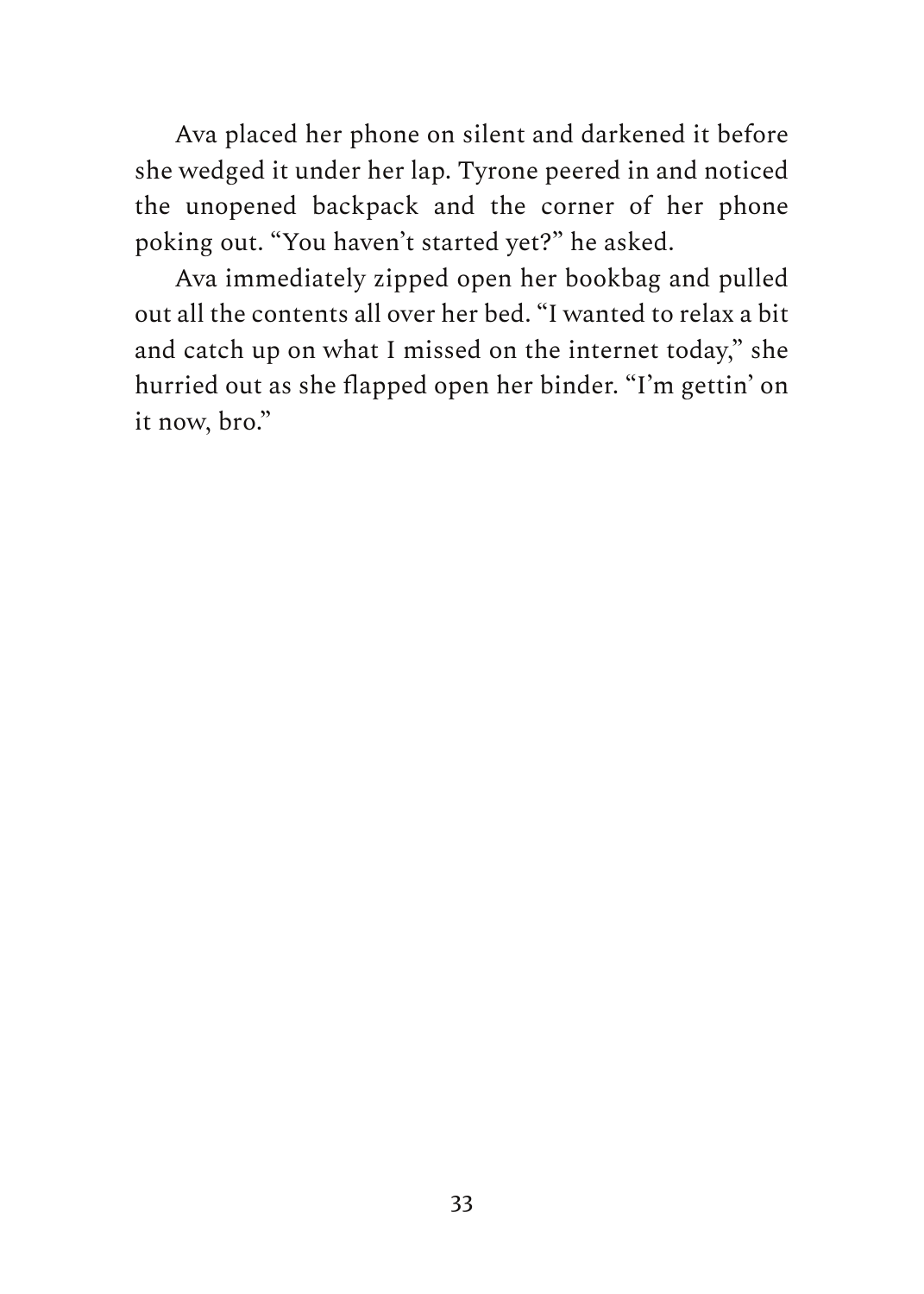Ava placed her phone on silent and darkened it before she wedged it under her lap. Tyrone peered in and noticed the unopened backpack and the corner of her phone poking out. "You haven't started yet?" he asked.

Ava immediately zipped open her bookbag and pulled out all the contents all over her bed. "I wanted to relax a bit and catch up on what I missed on the internet today," she hurried out as she flapped open her binder. "I'm gettin' on it now, bro."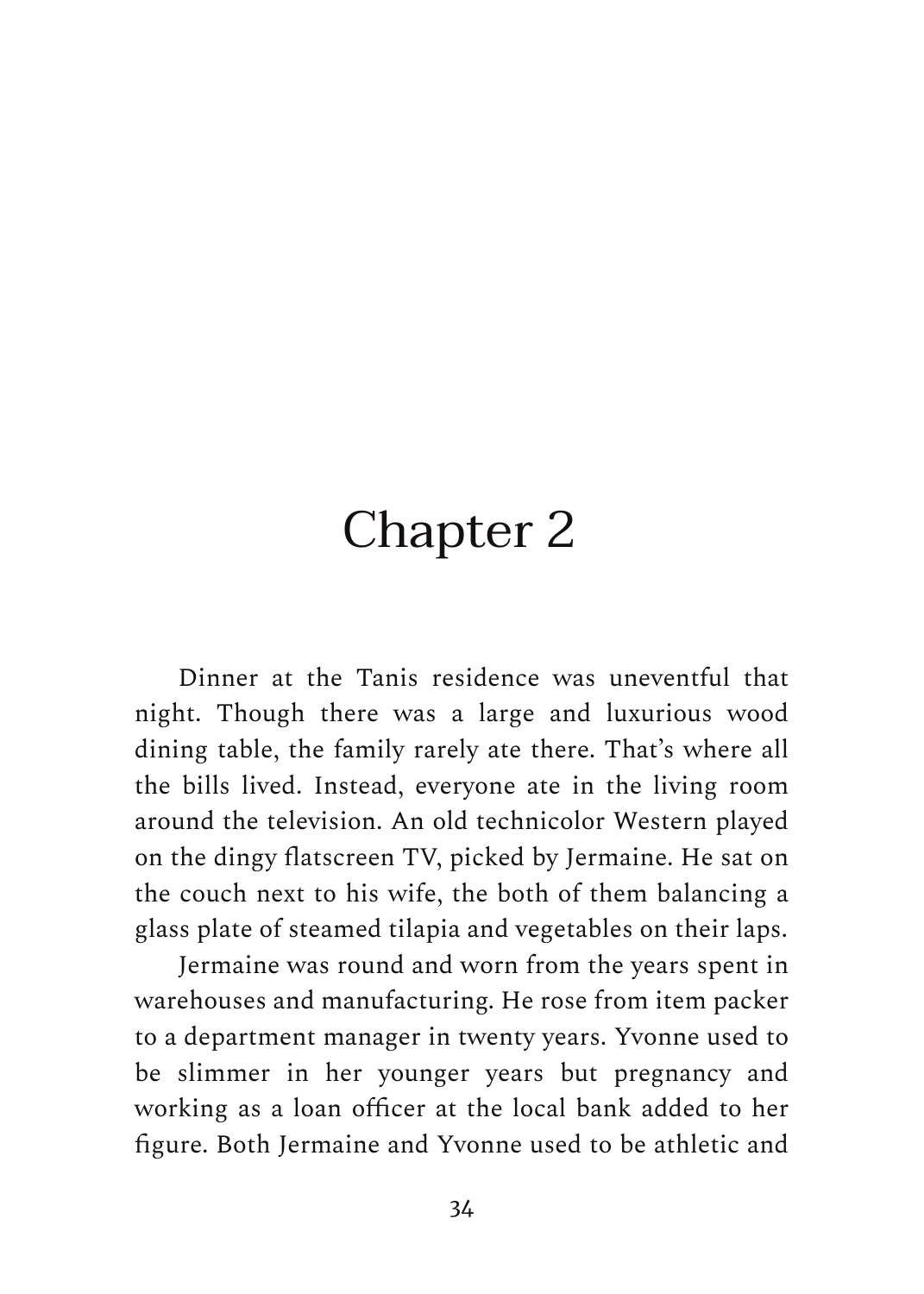## Chapter 2

Dinner at the Tanis residence was uneventful that night. Though there was a large and luxurious wood dining table, the family rarely ate there. That's where all the bills lived. Instead, everyone ate in the living room around the television. An old technicolor Western played on the dingy flatscreen TV, picked by Jermaine. He sat on the couch next to his wife, the both of them balancing a glass plate of steamed tilapia and vegetables on their laps.

Jermaine was round and worn from the years spent in warehouses and manufacturing. He rose from item packer to a department manager in twenty years. Yvonne used to be slimmer in her younger years but pregnancy and working as a loan officer at the local bank added to her figure. Both Jermaine and Yvonne used to be athletic and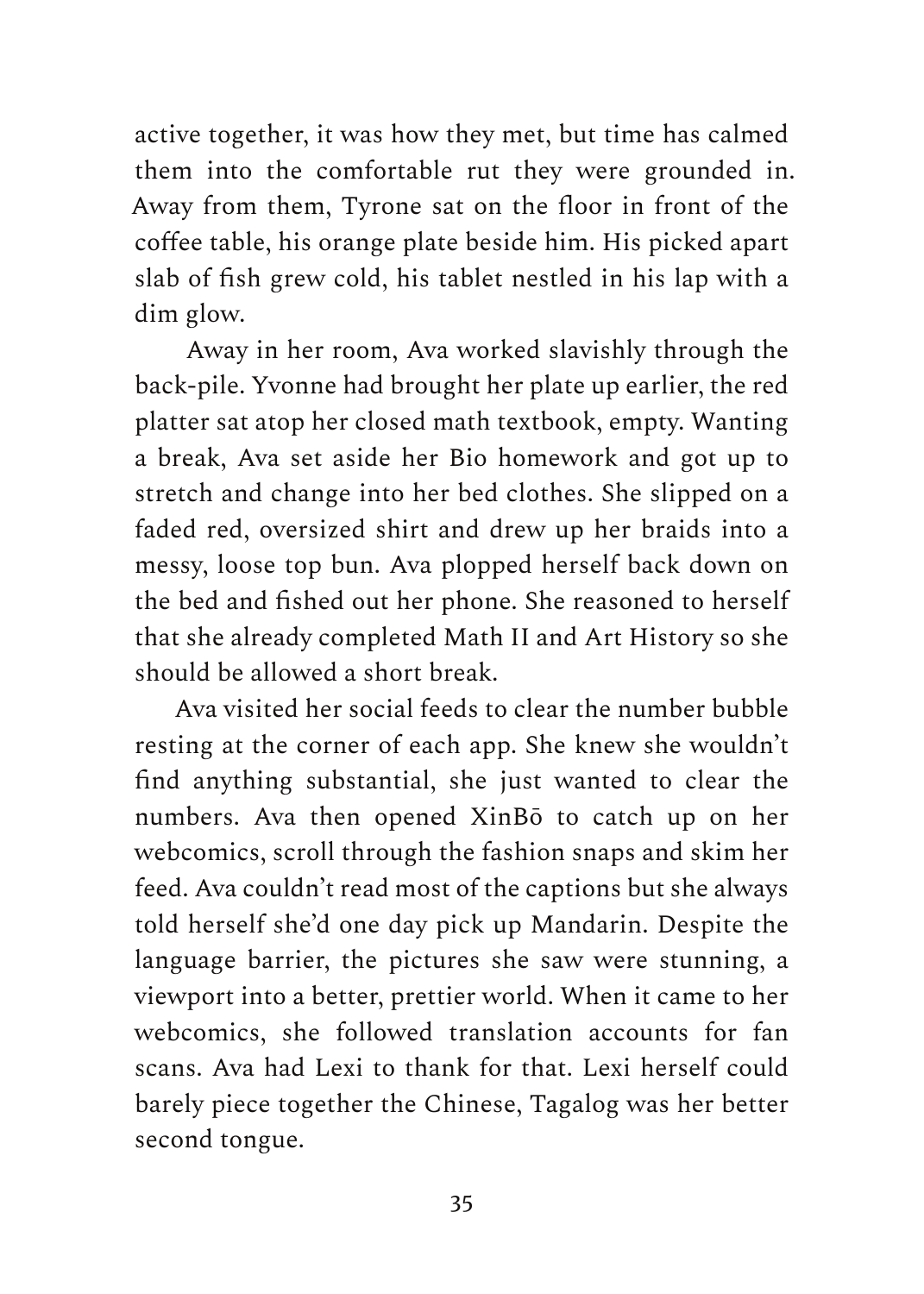active together, it was how they met, but time has calmed them into the comfortable rut they were grounded in. Away from them, Tyrone sat on the floor in front of the coffee table, his orange plate beside him. His picked apart slab of fish grew cold, his tablet nestled in his lap with a dim glow.

Away in her room, Ava worked slavishly through the back-pile. Yvonne had brought her plate up earlier, the red platter sat atop her closed math textbook, empty. Wanting a break, Ava set aside her Bio homework and got up to stretch and change into her bed clothes. She slipped on a faded red, oversized shirt and drew up her braids into a messy, loose top bun. Ava plopped herself back down on the bed and fished out her phone. She reasoned to herself that she already completed Math II and Art History so she should be allowed a short break.

Ava visited her social feeds to clear the number bubble resting at the corner of each app. She knew she wouldn't find anything substantial, she just wanted to clear the numbers. Ava then opened XinBō to catch up on her webcomics, scroll through the fashion snaps and skim her feed. Ava couldn't read most of the captions but she always told herself she'd one day pick up Mandarin. Despite the language barrier, the pictures she saw were stunning, a viewport into a better, prettier world. When it came to her webcomics, she followed translation accounts for fan scans. Ava had Lexi to thank for that. Lexi herself could barely piece together the Chinese, Tagalog was her better second tongue.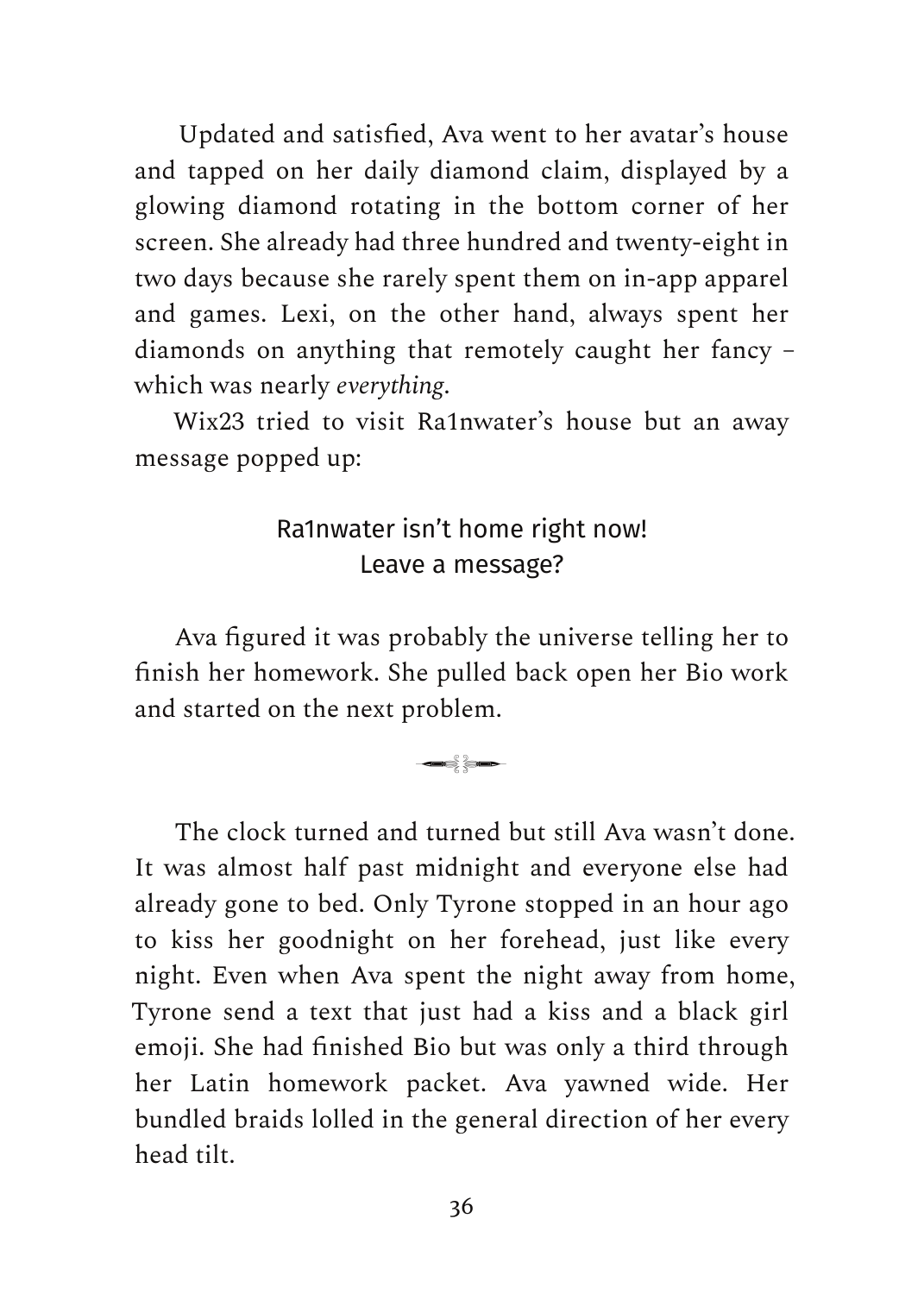Updated and satisfied, Ava went to her avatar's house and tapped on her daily diamond claim, displayed by a glowing diamond rotating in the bottom corner of her screen. She already had three hundred and twenty-eight in two days because she rarely spent them on in-app apparel and games. Lexi, on the other hand, always spent her diamonds on anything that remotely caught her fancy – which was nearly *everything*.

Wix23 tried to visit Ra1nwater's house but an away message popped up:

#### Ra1nwater isn't home right now! Leave a message?

Ava figured it was probably the universe telling her to finish her homework. She pulled back open her Bio work and started on the next problem.

��

The clock turned and turned but still Ava wasn't done. It was almost half past midnight and everyone else had already gone to bed. Only Tyrone stopped in an hour ago to kiss her goodnight on her forehead, just like every night. Even when Ava spent the night away from home, Tyrone send a text that just had a kiss and a black girl emoji. She had finished Bio but was only a third through her Latin homework packet. Ava yawned wide. Her bundled braids lolled in the general direction of her every head tilt.